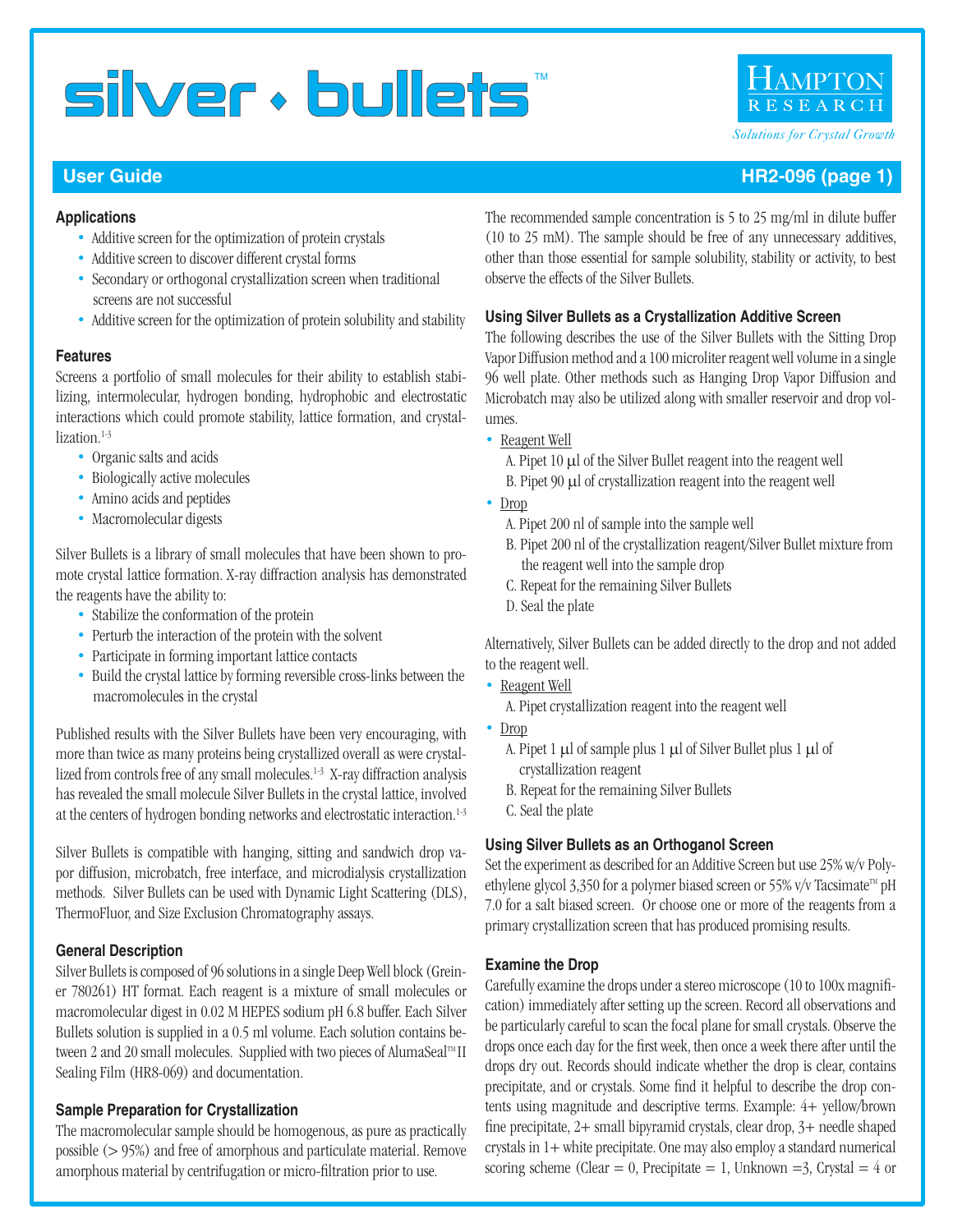

#### **User Guide HR2-096 (page 1) User Guide HR2-096 (page 1)**

#### **Applications**

- Additive screen for the optimization of protein crystals
- Additive screen to discover different crystal forms
- Secondary or orthogonal crystallization screen when traditional screens are not successful
- Additive screen for the optimization of protein solubility and stability

#### **Features**

Screens a portfolio of small molecules for their ability to establish stabilizing, intermolecular, hydrogen bonding, hydrophobic and electrostatic interactions which could promote stability, lattice formation, and crystallization.<sup>1-3</sup>

- Organic salts and acids
- Biologically active molecules
- Amino acids and peptides
- Macromolecular digests

Silver Bullets is a library of small molecules that have been shown to promote crystal lattice formation. X-ray diffraction analysis has demonstrated the reagents have the ability to:

- Stabilize the conformation of the protein
- Perturb the interaction of the protein with the solvent
- Participate in forming important lattice contacts
- Build the crystal lattice by forming reversible cross-links between the macromolecules in the crystal

Published results with the Silver Bullets have been very encouraging, with more than twice as many proteins being crystallized overall as were crystallized from controls free of any small molecules.<sup>1-3</sup> X-ray diffraction analysis has revealed the small molecule Silver Bullets in the crystal lattice, involved at the centers of hydrogen bonding networks and electrostatic interaction.<sup>1-3</sup>

Silver Bullets is compatible with hanging, sitting and sandwich drop vapor diffusion, microbatch, free interface, and microdialysis crystallization methods. Silver Bullets can be used with Dynamic Light Scattering (DLS), ThermoFluor, and Size Exclusion Chromatography assays.

#### **General Description**

Silver Bullets is composed of 96 solutions in a single Deep Well block (Greiner 780261) HT format. Each reagent is a mixture of small molecules or macromolecular digest in 0.02 M HEPES sodium pH 6.8 buffer. Each Silver Bullets solution is supplied in a 0.5 ml volume. Each solution contains between 2 and 20 small molecules. Supplied with two pieces of AlumaSeal<sup>™</sup> II Sealing Film (HR8-069) and documentation.

#### **Sample Preparation for Crystallization**

The macromolecular sample should be homogenous, as pure as practically possible (> 95%) and free of amorphous and particulate material. Remove amorphous material by centrifugation or micro-filtration prior to use.

The recommended sample concentration is 5 to 25 mg/ml in dilute buffer (10 to 25 mM). The sample should be free of any unnecessary additives, other than those essential for sample solubility, stability or activity, to best observe the effects of the Silver Bullets.

#### **Using Silver Bullets as a Crystallization Additive Screen**

The following describes the use of the Silver Bullets with the Sitting Drop Vapor Diffusion method and a 100 microliter reagent well volume in a single 96 well plate. Other methods such as Hanging Drop Vapor Diffusion and Microbatch may also be utilized along with smaller reservoir and drop volumes.

- Reagent Well
	- A. Pipet  $10 \mu l$  of the Silver Bullet reagent into the reagent well
	- B. Pipet 90 µl of crystallization reagent into the reagent well
- Drop
	- A. Pipet 200 nl of sample into the sample well
	- B. Pipet 200 nl of the crystallization reagent/Silver Bullet mixture from the reagent well into the sample drop
	- C. Repeat for the remaining Silver Bullets
	- D. Seal the plate

Alternatively, Silver Bullets can be added directly to the drop and not added to the reagent well.

- Reagent Well
	- A. Pipet crystallization reagent into the reagent well
- Drop
	- A. Pipet 1  $\mu$ l of sample plus 1  $\mu$ l of Silver Bullet plus 1  $\mu$ l of crystallization reagent
	- B. Repeat for the remaining Silver Bullets
	- C. Seal the plate

#### **Using Silver Bullets as an Orthoganol Screen**

Set the experiment as described for an Additive Screen but use 25% w/v Polyethylene glycol 3,350 for a polymer biased screen or 55% v/v Tacsimate<sup>™</sup> pH 7.0 for a salt biased screen. Or choose one or more of the reagents from a primary crystallization screen that has produced promising results.

#### **Examine the Drop**

Carefully examine the drops under a stereo microscope (10 to 100x magnification) immediately after setting up the screen. Record all observations and be particularly careful to scan the focal plane for small crystals. Observe the drops once each day for the first week, then once a week there after until the drops dry out. Records should indicate whether the drop is clear, contains precipitate, and or crystals. Some find it helpful to describe the drop contents using magnitude and descriptive terms. Example: 4+ yellow/brown fine precipitate, 2+ small bipyramid crystals, clear drop, 3+ needle shaped crystals in 1+ white precipitate. One may also employ a standard numerical scoring scheme (Clear = 0, Precipitate = 1, Unknown = 3, Crystal =  $4$  or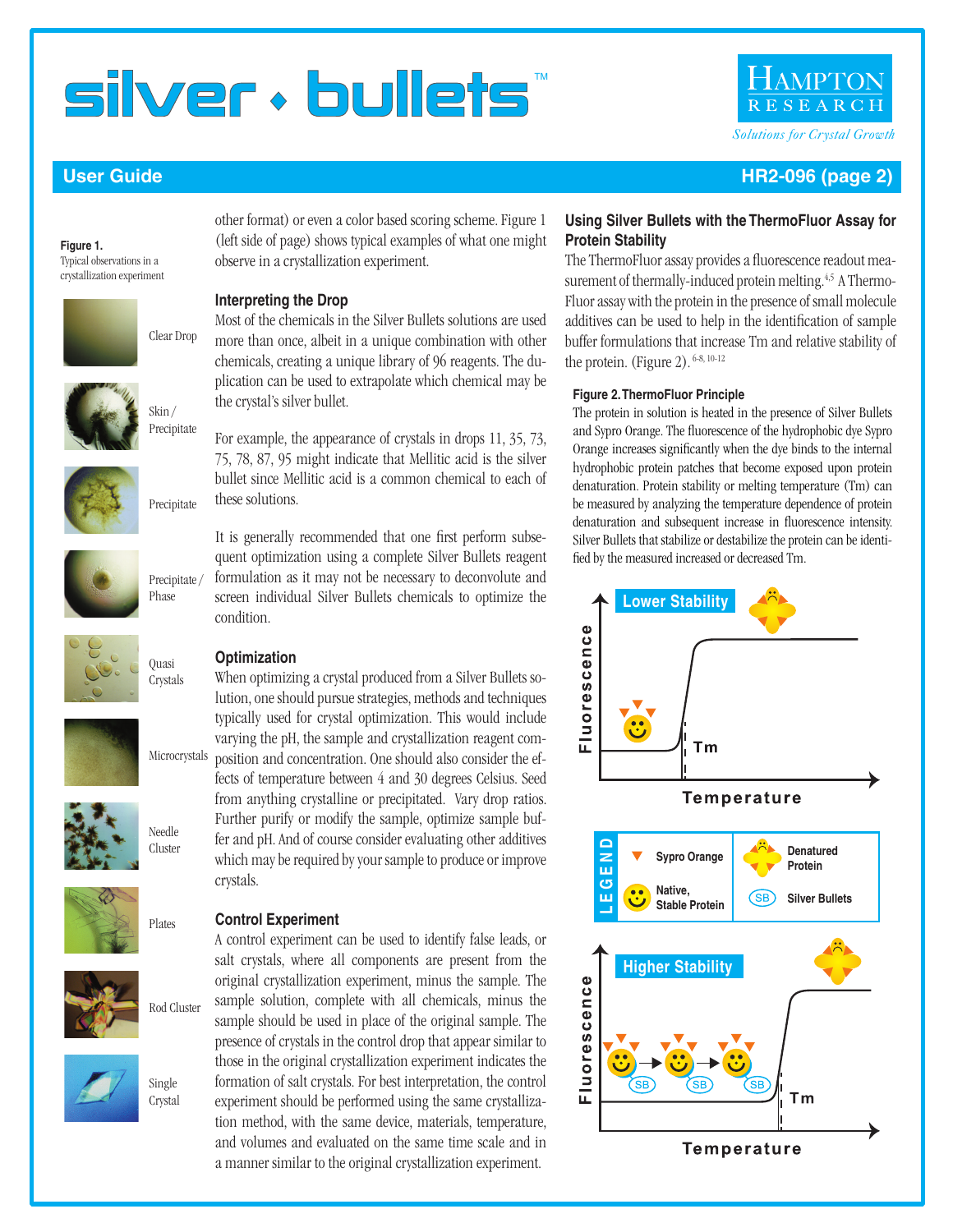#### **User Guide HR2-096 (page 2)**

Typical observations in a crystallization experiment

**Figure 1.**

other format) or even a color based scoring scheme. Figure 1 (left side of page) shows typical examples of what one might observe in a crystallization experiment.

Most of the chemicals in the Silver Bullets solutions are used more than once, albeit in a unique combination with other chemicals, creating a unique library of 96 reagents. The duplication can be used to extrapolate which chemical may be

For example, the appearance of crystals in drops 11, 35, 73, 75, 78, 87, 95 might indicate that Mellitic acid is the silver bullet since Mellitic acid is a common chemical to each of

It is generally recommended that one first perform subsequent optimization using a complete Silver Bullets reagent formulation as it may not be necessary to deconvolute and screen individual Silver Bullets chemicals to optimize the

#### **Interpreting the Drop**

the crystal's silver bullet.

these solutions.

condition.

Clear Drop



Precipitate



Precipitate

















**Optimization** When optimizing a crystal produced from a Silver Bullets solution, one should pursue strategies, methods and techniques typically used for crystal optimization. This would include varying the pH, the sample and crystallization reagent composition and concentration. One should also consider the effects of temperature between 4 and 30 degrees Celsius. Seed from anything crystalline or precipitated. Vary drop ratios. Further purify or modify the sample, optimize sample buf-

fer and pH. And of course consider evaluating other additives which may be required by your sample to produce or improve crystals.

#### **Control Experiment**

A control experiment can be used to identify false leads, or salt crystals, where all components are present from the original crystallization experiment, minus the sample. The sample solution, complete with all chemicals, minus the sample should be used in place of the original sample. The presence of crystals in the control drop that appear similar to those in the original crystallization experiment indicates the formation of salt crystals. For best interpretation, the control experiment should be performed using the same crystallization method, with the same device, materials, temperature, and volumes and evaluated on the same time scale and in a manner similar to the original crystallization experiment.

#### **Using Silver Bullets with the ThermoFluor Assay for Protein Stability**

The ThermoFluor assay provides a fluorescence readout measurement of thermally-induced protein melting.<sup>4,5</sup> A Thermo-Fluor assay with the protein in the presence of small molecule additives can be used to help in the identification of sample buffer formulations that increase Tm and relative stability of the protein. (Figure 2). <sup>6-8, 10-12</sup>

#### **Figure 2. ThermoFluor Principle**

The protein in solution is heated in the presence of Silver Bullets and Sypro Orange. The fluorescence of the hydrophobic dye Sypro Orange increases significantly when the dye binds to the internal hydrophobic protein patches that become exposed upon protein denaturation. Protein stability or melting temperature (Tm) can be measured by analyzing the temperature dependence of protein denaturation and subsequent increase in fluorescence intensity. Silver Bullets that stabilize or destabilize the protein can be identified by the measured increased or decreased Tm.



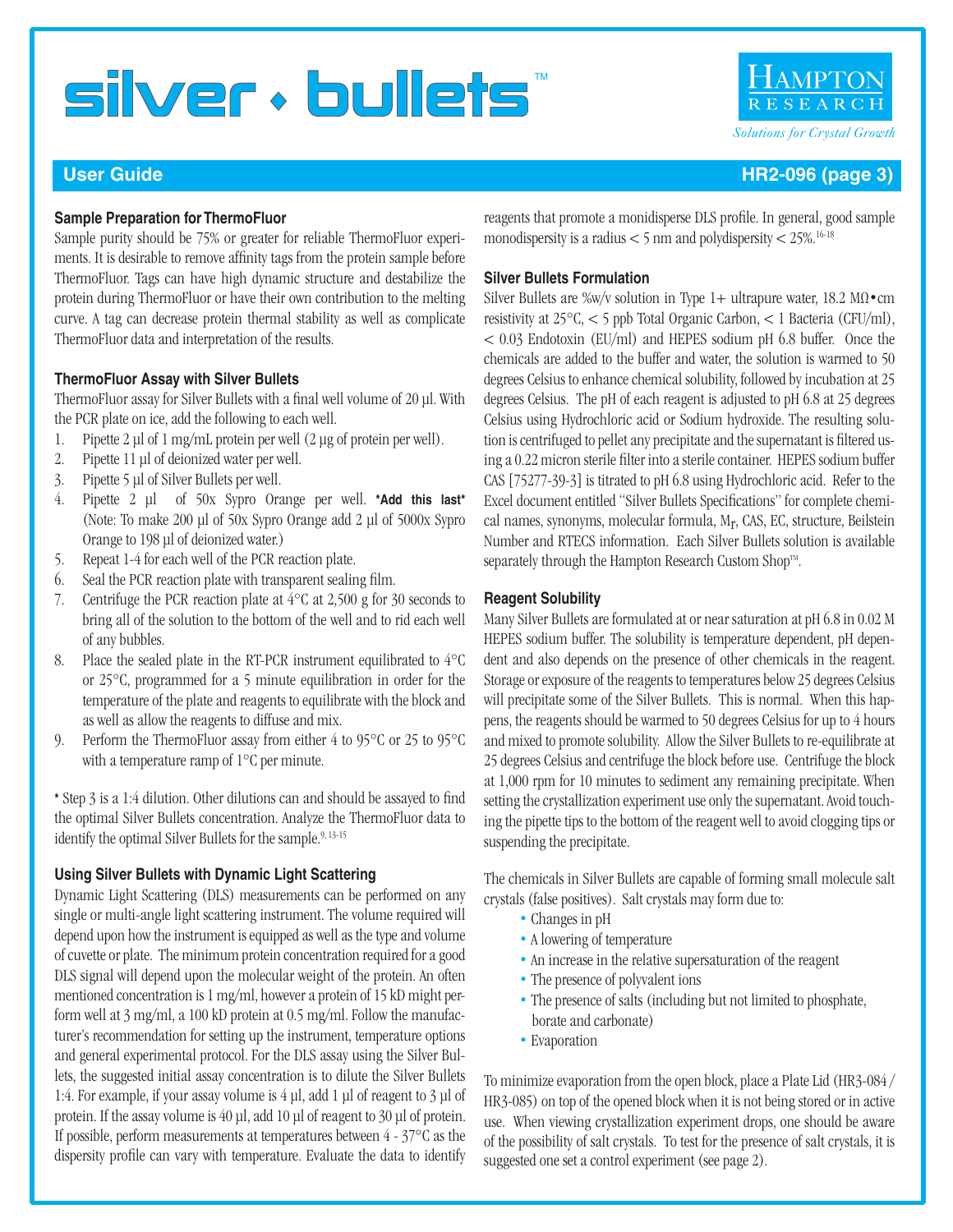RESEARC *Solutions for Crystal Growth*

#### **User Guide HR2-096 (page 3)**

#### **Sample Preparation for ThermoFluor**

Sample purity should be 75% or greater for reliable ThermoFluor experiments. It is desirable to remove affinity tags from the protein sample before ThermoFluor. Tags can have high dynamic structure and destabilize the protein during ThermoFluor or have their own contribution to the melting curve. A tag can decrease protein thermal stability as well as complicate ThermoFluor data and interpretation of the results.

#### **ThermoFluor Assay with Silver Bullets**

ThermoFluor assay for Silver Bullets with a final well volume of 20 μl. With the PCR plate on ice, add the following to each well.

- 1. Pipette 2 μl of 1 mg/mL protein per well (2 μg of protein per well).
- 2. Pipette 11 μl of deionized water per well.
- 3. Pipette 5 μl of Silver Bullets per well.
- 4. Pipette 2 μl of 50x Sypro Orange per well. **\*Add this last\*** (Note: To make 200 μl of 50x Sypro Orange add 2 μl of 5000x Sypro Orange to 198 μl of deionized water.)
- 5. Repeat 1-4 for each well of the PCR reaction plate.
- 6. Seal the PCR reaction plate with transparent sealing film.
- 7. Centrifuge the PCR reaction plate at  $4^{\circ}$ C at 2,500 g for 30 seconds to bring all of the solution to the bottom of the well and to rid each well of any bubbles.
- 8. Place the sealed plate in the RT-PCR instrument equilibrated to 4°C or 25°C, programmed for a 5 minute equilibration in order for the temperature of the plate and reagents to equilibrate with the block and as well as allow the reagents to diffuse and mix.
- 9. Perform the ThermoFluor assay from either 4 to 95°C or 25 to 95°C with a temperature ramp of 1°C per minute.

**\*** Step 3 is a 1:4 dilution. Other dilutions can and should be assayed to find the optimal Silver Bullets concentration. Analyze the ThermoFluor data to identify the optimal Silver Bullets for the sample.<sup>9, 13-15</sup>

#### **Using Silver Bullets with Dynamic Light Scattering**

Dynamic Light Scattering (DLS) measurements can be performed on any single or multi-angle light scattering instrument. The volume required will depend upon how the instrument is equipped as well as the type and volume of cuvette or plate. The minimum protein concentration required for a good DLS signal will depend upon the molecular weight of the protein. An often mentioned concentration is 1 mg/ml, however a protein of 15 kD might perform well at 3 mg/ml, a 100 kD protein at 0.5 mg/ml. Follow the manufacturer's recommendation for setting up the instrument, temperature options and general experimental protocol. For the DLS assay using the Silver Bullets, the suggested initial assay concentration is to dilute the Silver Bullets 1:4. For example, if your assay volume is 4 μl, add 1 μl of reagent to 3 μl of protein. If the assay volume is 40 μl, add 10 μl of reagent to 30 μl of protein. If possible, perform measurements at temperatures between 4 - 37°C as the dispersity profile can vary with temperature. Evaluate the data to identify reagents that promote a monidisperse DLS profile. In general, good sample monodispersity is a radius  $< 5$  nm and polydispersity  $< 25\%$ .<sup>16-18</sup>

#### **Silver Bullets Formulation**

Silver Bullets are %w/v solution in Type 1+ ultrapure water, 18.2 MΩ•cm resistivity at 25°C, < 5 ppb Total Organic Carbon, < 1 Bacteria (CFU/ml), < 0.03 Endotoxin (EU/ml) and HEPES sodium pH 6.8 buffer. Once the chemicals are added to the buffer and water, the solution is warmed to 50 degrees Celsius to enhance chemical solubility, followed by incubation at 25 degrees Celsius. The pH of each reagent is adjusted to pH 6.8 at 25 degrees Celsius using Hydrochloric acid or Sodium hydroxide. The resulting solution is centrifuged to pellet any precipitate and the supernatant is filtered using a 0.22 micron sterile filter into a sterile container. HEPES sodium buffer CAS [75277-39-3] is titrated to pH 6.8 using Hydrochloric acid. Refer to the Excel document entitled "Silver Bullets Specifications" for complete chemical names, synonyms, molecular formula, Mr, CAS, EC, structure, Beilstein Number and RTECS information. Each Silver Bullets solution is available separately through the Hampton Research Custom Shop™.

#### **Reagent Solubility**

Many Silver Bullets are formulated at or near saturation at pH 6.8 in 0.02 M HEPES sodium buffer. The solubility is temperature dependent, pH dependent and also depends on the presence of other chemicals in the reagent. Storage or exposure of the reagents to temperatures below 25 degrees Celsius will precipitate some of the Silver Bullets. This is normal. When this happens, the reagents should be warmed to 50 degrees Celsius for up to 4 hours and mixed to promote solubility. Allow the Silver Bullets to re-equilibrate at 25 degrees Celsius and centrifuge the block before use. Centrifuge the block at 1,000 rpm for 10 minutes to sediment any remaining precipitate. When setting the crystallization experiment use only the supernatant. Avoid touching the pipette tips to the bottom of the reagent well to avoid clogging tips or suspending the precipitate.

The chemicals in Silver Bullets are capable of forming small molecule salt crystals (false positives). Salt crystals may form due to:

- Changes in pH
- A lowering of temperature
- An increase in the relative supersaturation of the reagent
- The presence of polyvalent ions
- The presence of salts (including but not limited to phosphate, borate and carbonate)
- Evaporation

To minimize evaporation from the open block, place a Plate Lid (HR3-084 / HR3-085) on top of the opened block when it is not being stored or in active use. When viewing crystallization experiment drops, one should be aware of the possibility of salt crystals. To test for the presence of salt crystals, it is suggested one set a control experiment (see page 2).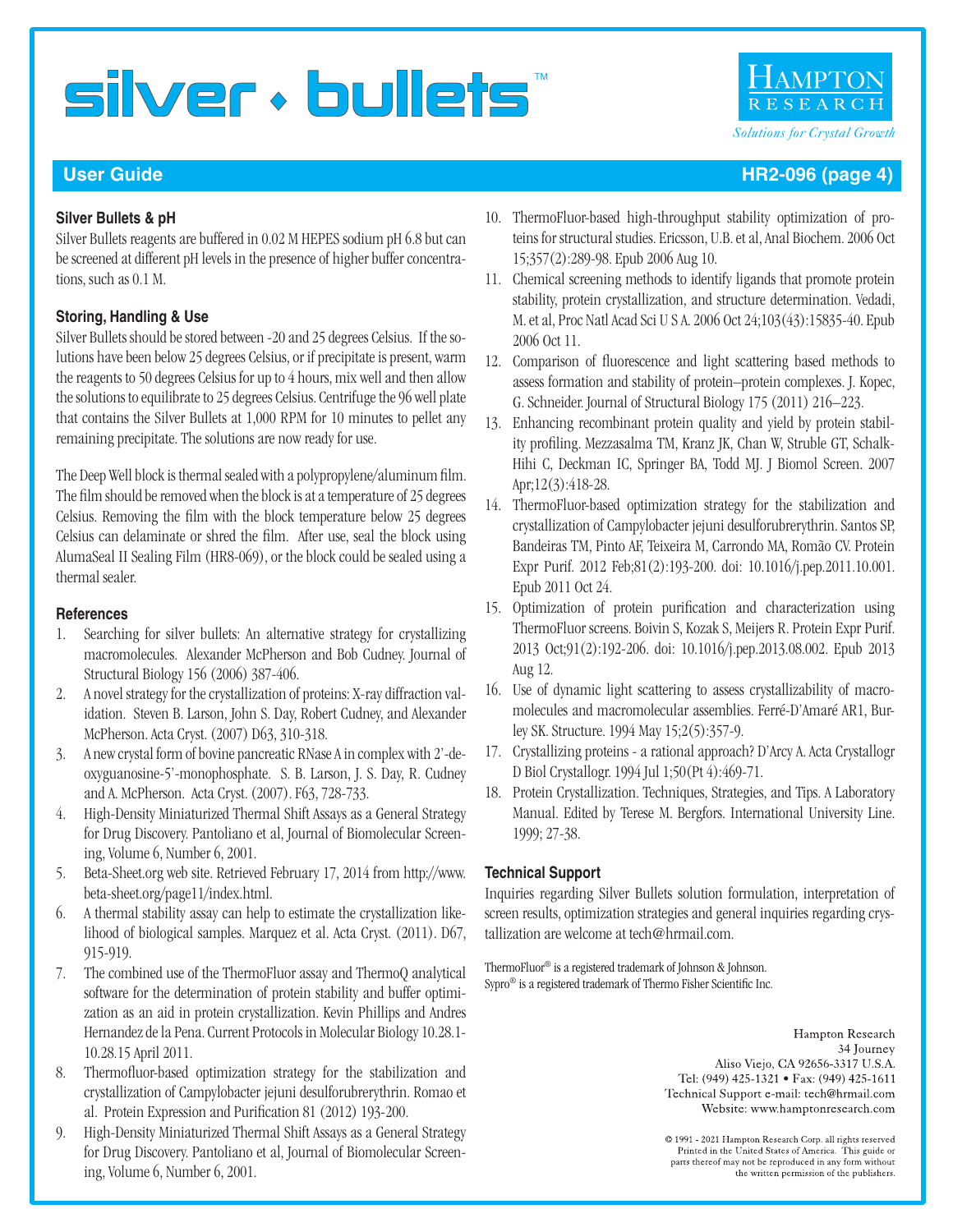#### **Silver Bullets & pH**

Silver Bullets reagents are buffered in 0.02 M HEPES sodium pH 6.8 but can be screened at different pH levels in the presence of higher buffer concentrations, such as 0.1 M.

#### **Storing, Handling & Use**

Silver Bullets should be stored between -20 and 25 degrees Celsius. If the solutions have been below 25 degrees Celsius, or if precipitate is present, warm the reagents to 50 degrees Celsius for up to 4 hours, mix well and then allow the solutions to equilibrate to 25 degrees Celsius. Centrifuge the 96 well plate that contains the Silver Bullets at 1,000 RPM for 10 minutes to pellet any remaining precipitate. The solutions are now ready for use.

The Deep Well block is thermal sealed with a polypropylene/aluminum film. The film should be removed when the block is at a temperature of 25 degrees Celsius. Removing the film with the block temperature below 25 degrees Celsius can delaminate or shred the film. After use, seal the block using AlumaSeal II Sealing Film (HR8-069), or the block could be sealed using a thermal sealer.

#### **References**

- 1. Searching for silver bullets: An alternative strategy for crystallizing macromolecules. Alexander McPherson and Bob Cudney. Journal of Structural Biology 156 (2006) 387-406.
- 2. A novel strategy for the crystallization of proteins: X-ray diffraction validation. Steven B. Larson, John S. Day, Robert Cudney, and Alexander McPherson. Acta Cryst. (2007) D63, 310-318.
- 3. A new crystal form of bovine pancreatic RNase A in complex with 2'-deoxyguanosine-5'-monophosphate. S. B. Larson, J. S. Day, R. Cudney and A. McPherson. Acta Cryst. (2007). F63, 728-733.
- 4. High-Density Miniaturized Thermal Shift Assays as a General Strategy for Drug Discovery. Pantoliano et al, Journal of Biomolecular Screening, Volume 6, Number 6, 2001.
- 5. Beta-Sheet.org web site. Retrieved February 17, 2014 from http://www. beta-sheet.org/page11/index.html.
- 6. A thermal stability assay can help to estimate the crystallization likelihood of biological samples. Marquez et al. Acta Cryst. (2011). D67, 915-919.
- 7. The combined use of the ThermoFluor assay and ThermoQ analytical software for the determination of protein stability and buffer optimization as an aid in protein crystallization. Kevin Phillips and Andres Hernandez de la Pena. Current Protocols in Molecular Biology 10.28.1- 10.28.15 April 2011.
- 8. Thermofluor-based optimization strategy for the stabilization and crystallization of Campylobacter jejuni desulforubrerythrin. Romao et al. Protein Expression and Purification 81 (2012) 193-200.
- 9. High-Density Miniaturized Thermal Shift Assays as a General Strategy for Drug Discovery. Pantoliano et al, Journal of Biomolecular Screening, Volume 6, Number 6, 2001.
- 10. ThermoFluor-based high-throughput stability optimization of proteins for structural studies. Ericsson, U.B. et al, Anal Biochem. 2006 Oct 15;357(2):289-98. Epub 2006 Aug 10.
- 11. Chemical screening methods to identify ligands that promote protein stability, protein crystallization, and structure determination. Vedadi, M. et al, Proc Natl Acad Sci U S A. 2006 Oct 24;103(43):15835-40. Epub 2006 Oct 11.
- 12. Comparison of fluorescence and light scattering based methods to assess formation and stability of protein–protein complexes. J. Kopec, G. Schneider. Journal of Structural Biology 175 (2011) 216–223.
- 13. Enhancing recombinant protein quality and yield by protein stability profiling. Mezzasalma TM, Kranz JK, Chan W, Struble GT, Schalk-Hihi C, Deckman IC, Springer BA, Todd MJ. J Biomol Screen. 2007 Apr;12(3):418-28.
- 14. ThermoFluor-based optimization strategy for the stabilization and crystallization of Campylobacter jejuni desulforubrerythrin. Santos SP, Bandeiras TM, Pinto AF, Teixeira M, Carrondo MA, Romão CV. Protein Expr Purif. 2012 Feb;81(2):193-200. doi: 10.1016/j.pep.2011.10.001. Epub 2011 Oct 24.
- 15. Optimization of protein purification and characterization using ThermoFluor screens. Boivin S, Kozak S, Meijers R. Protein Expr Purif. 2013 Oct;91(2):192-206. doi: 10.1016/j.pep.2013.08.002. Epub 2013 Aug 12.
- 16. Use of dynamic light scattering to assess crystallizability of macromolecules and macromolecular assemblies. Ferré-D'Amaré AR1, Burley SK. Structure. 1994 May 15;2(5):357-9.
- 17. Crystallizing proteins a rational approach? D'Arcy A. Acta Crystallogr D Biol Crystallogr. 1994 Jul 1;50(Pt 4):469-71.
- 18. Protein Crystallization. Techniques, Strategies, and Tips. A Laboratory Manual. Edited by Terese M. Bergfors. International University Line. 1999; 27-38.

#### **Technical Support**

Inquiries regarding Silver Bullets solution formulation, interpretation of screen results, optimization strategies and general inquiries regarding crystallization are welcome at tech@hrmail.com.

ThermoFluor® is a registered trademark of Johnson & Johnson. Sypro® is a registered trademark of Thermo Fisher Scientific Inc.

> Hampton Research 34 Journey Aliso Viejo, CA 92656-3317 U.S.A. Tel: (949) 425-1321 • Fax: (949) 425-1611 Technical Support e-mail: tech@hrmail.com Website: www.hamptonresearch.com

> © 1991 - 2021 Hampton Research Corp. all rights reserved Printed in the United States of America. This guide or parts thereof may not be reproduced in any form without the written permission of the publishers.

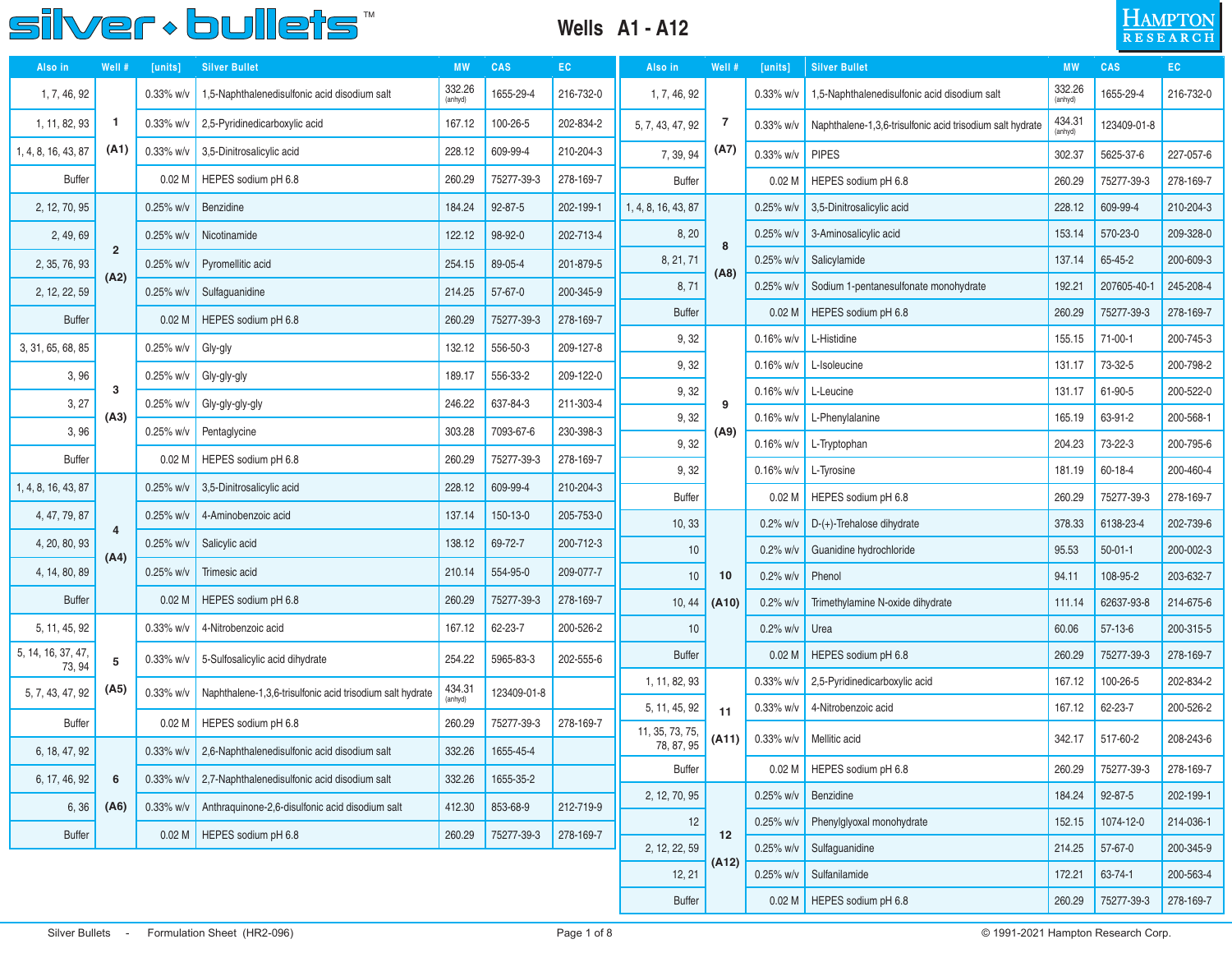#### **Wells A1 - A12**



| Also in                      | Well #         | <b>CAS</b><br><b>Silver Bullet</b><br><b>MW</b><br>EC.<br>Also in<br>[units] |                                                           |                   | Well #        | [units]   | <b>Silver Bullet</b> | <b>MW</b> | <b>CAS</b>        | EC                                                        |                   |               |           |
|------------------------------|----------------|------------------------------------------------------------------------------|-----------------------------------------------------------|-------------------|---------------|-----------|----------------------|-----------|-------------------|-----------------------------------------------------------|-------------------|---------------|-----------|
| 1, 7, 46, 92                 |                | 0.33% w/v                                                                    | 1,5-Naphthalenedisulfonic acid disodium salt              | 332.26<br>(anhyd) | 1655-29-4     | 216-732-0 | 1, 7, 46, 92         |           | $0.33\%$ w/v      | 1,5-Naphthalenedisulfonic acid disodium salt              | 332.26<br>(anhyd) | 1655-29-4     | 216-732-0 |
| 1, 11, 82, 93                | 1              | 0.33% w/v                                                                    | 2,5-Pyridinedicarboxylic acid                             | 167.12            | 100-26-5      | 202-834-2 | 5, 7, 43, 47, 92     | 7         | $0.33\%$ w/v      | Naphthalene-1,3,6-trisulfonic acid trisodium salt hydrate | 434.31<br>anhyd)  | 123409-01-8   |           |
| 1, 4, 8, 16, 43, 87          | (A1)           | 0.33% w/v                                                                    | 3,5-Dinitrosalicylic acid                                 | 228.12            | 609-99-4      | 210-204-3 | 7, 39, 94            | (A7)      | $0.33\%$ w/v      | <b>PIPES</b>                                              | 302.37            | 5625-37-6     | 227-057-6 |
| <b>Buffer</b>                |                | 0.02 <sub>M</sub>                                                            | HEPES sodium pH 6.8                                       | 260.29            | 75277-39-3    | 278-169-7 | <b>Buffer</b>        |           | 0.02 <sub>M</sub> | HEPES sodium pH 6.8                                       | 260.29            | 75277-39-3    | 278-169-7 |
| 2, 12, 70, 95                |                | 0.25% w/v                                                                    | Benzidine                                                 | 184.24            | $92 - 87 - 5$ | 202-199-1 | 1, 4, 8, 16, 43, 87  |           | $0.25%$ w/v       | 3,5-Dinitrosalicylic acid                                 | 228.12            | 609-99-4      | 210-204-3 |
| 2, 49, 69                    |                | 0.25% w/v                                                                    | Nicotinamide                                              | 122.12            | 98-92-0       | 202-713-4 | 8, 20                | 8         | $0.25\%$ w/v      | 3-Aminosalicylic acid                                     | 153.14            | 570-23-0      | 209-328-0 |
| 2, 35, 76, 93                | $\overline{2}$ | 0.25% w/v                                                                    | Pyromellitic acid                                         | 254.15            | 89-05-4       | 201-879-5 | 8, 21, 71            | (AB)      | $0.25\%$ w/v      | Salicylamide                                              | 137.14            | 65-45-2       | 200-609-3 |
| 2, 12, 22, 59                | (A2)           | 0.25% w/v                                                                    | Sulfaguanidine                                            | 214.25            | $57 - 67 - 0$ | 200-345-9 | 8,71                 |           | $0.25%$ w/v       | Sodium 1-pentanesulfonate monohydrate                     | 192.21            | 207605-40-1   | 245-208-4 |
| <b>Buffer</b>                |                | 0.02 <sub>M</sub>                                                            | HEPES sodium pH 6.8                                       | 260.29            | 75277-39-3    | 278-169-7 | <b>Buffer</b>        |           | 0.02 <sub>M</sub> | HEPES sodium pH 6.8                                       | 260.29            | 75277-39-3    | 278-169-7 |
| 3, 31, 65, 68, 85            |                | 0.25% w/v                                                                    | Gly-gly                                                   | 132.12            | 556-50-3      | 209-127-8 | 9, 32                |           | $0.16\%$ w/v      | L-Histidine                                               | 155.15            | 71-00-1       | 200-745-3 |
| 3,96                         |                | 0.25% w/v                                                                    | Gly-gly-gly                                               | 189.17            | 556-33-2      | 209-122-0 | 9,32                 |           | $0.16\%$ w/v      | L-Isoleucine                                              | 131.17            | 73-32-5       | 200-798-2 |
| 3, 27                        | 3              | 0.25% w/v                                                                    | Gly-gly-gly-gly                                           | 246.22            | 637-84-3      | 211-303-4 | 9,32                 | 9         | $0.16\%$ w/v      | L-Leucine                                                 | 131.17            | 61-90-5       | 200-522-0 |
| 3,96                         | (A3)           | 0.25% w/v                                                                    | Pentaglycine                                              | 303.28            | 7093-67-6     | 230-398-3 | 9,32                 | (A9)      | $0.16\%$ w/v      | L-Phenylalanine                                           | 165.19            | 63-91-2       | 200-568-1 |
|                              |                |                                                                              |                                                           |                   |               |           | 9,32                 |           | $0.16\%$ w/v      | L-Tryptophan                                              | 204.23            | 73-22-3       | 200-795-6 |
| <b>Buffer</b>                |                | 0.02 <sub>M</sub>                                                            | HEPES sodium pH 6.8                                       | 260.29            | 75277-39-3    | 278-169-7 | 9,32                 |           | $0.16\%$ w/v      | L-Tyrosine                                                | 181.19            | 60-18-4       | 200-460-4 |
| 1, 4, 8, 16, 43, 87          |                | 0.25% w/v                                                                    | 3,5-Dinitrosalicylic acid                                 | 228.12            | 609-99-4      | 210-204-3 | <b>Buffer</b>        |           | 0.02 <sub>M</sub> | HEPES sodium pH 6.8                                       | 260.29            | 75277-39-3    | 278-169-7 |
| 4, 47, 79, 87                | $\overline{4}$ | 0.25% w/v                                                                    | 4-Aminobenzoic acid                                       | 137.14            | 150-13-0      | 205-753-0 | 10, 33               |           | $0.2%$ w/v        | $D-(+)$ -Trehalose dihydrate                              | 378.33            | 6138-23-4     | 202-739-6 |
| 4, 20, 80, 93                | (A4)           | 0.25% w/v                                                                    | Salicylic acid                                            | 138.12            | 69-72-7       | 200-712-3 | 10                   |           | $0.2\%$ w/v       | Guanidine hydrochloride                                   | 95.53             | $50 - 01 - 1$ | 200-002-3 |
| 4, 14, 80, 89                |                | 0.25% w/v                                                                    | Trimesic acid                                             | 210.14            | 554-95-0      | 209-077-7 | 10                   | 10        | $0.2\%$ w/v       | Phenol                                                    | 94.11             | 108-95-2      | 203-632-7 |
| <b>Buffer</b>                |                | 0.02 <sub>M</sub>                                                            | HEPES sodium pH 6.8                                       | 260.29            | 75277-39-3    | 278-169-7 | 10, 44               | (A10)     | $0.2\%$ w/        | Trimethylamine N-oxide dihydrate                          | 111.14            | 62637-93-8    | 214-675-6 |
| 5, 11, 45, 92                |                | 0.33% w/v                                                                    | 4-Nitrobenzoic acid                                       | 167.12            | 62-23-7       | 200-526-2 | 10                   |           | $0.2\%$ w/v       | Urea                                                      | 60.06             | $57-13-6$     | 200-315-5 |
| 5, 14, 16, 37, 47,<br>73, 94 | 5              | $0.33\%$ w/v                                                                 | 5-Sulfosalicylic acid dihydrate                           | 254.22            | 5965-83-3     | 202-555-6 | <b>Buffer</b>        |           | 0.02 <sub>M</sub> | HEPES sodium pH 6.8                                       | 260.29            | 75277-39-3    | 278-169-7 |
| 5, 7, 43, 47, 92             | (A5)           | 0.33% w/v                                                                    |                                                           | 434.31            | 123409-01-8   |           | 1, 11, 82, 93        |           | $0.33\%$ w/v      | 2,5-Pyridinedicarboxylic acid                             | 167.12            | 100-26-5      | 202-834-2 |
|                              |                |                                                                              | Naphthalene-1,3,6-trisulfonic acid trisodium salt hydrate | (anhyd)           |               |           | 5, 11, 45, 92        | 11        | $0.33\%$ w/v      | 4-Nitrobenzoic acid                                       | 167.12            | 62-23-7       | 200-526-2 |
| <b>Buffer</b>                |                | 0.02 <sub>M</sub>                                                            | HEPES sodium pH 6.8                                       | 260.29            | 75277-39-3    | 278-169-7 | 11, 35, 73, 75,      | (A11)     |                   | 0.33% $w/v$ Mellitic acid                                 | 342.17            | 517-60-2      | 208-243-6 |
| 6, 18, 47, 92                |                | $0.33\%$ w/v                                                                 | 2,6-Naphthalenedisulfonic acid disodium salt              | 332.26            | 1655-45-4     |           | 78, 87, 95           |           |                   |                                                           |                   |               |           |
| 6, 17, 46, 92                | 6              |                                                                              | 0.33% w/v   2,7-Naphthalenedisulfonic acid disodium salt  | 332.26            | 1655-35-2     |           | <b>Buffer</b>        |           |                   | 0.02 M   HEPES sodium pH 6.8                              | 260.29            | 75277-39-3    | 278-169-7 |
| 6, 36                        | (A6)           | $0.33\%$ w/v                                                                 | Anthraquinone-2,6-disulfonic acid disodium salt           | 412.30            | 853-68-9      | 212-719-9 | 2, 12, 70, 95        |           | $0.25\%$ w/v      | Benzidine                                                 | 184.24            | 92-87-5       | 202-199-1 |
| Buffer                       |                |                                                                              | 0.02 M   HEPES sodium pH 6.8                              | 260.29            | 75277-39-3    | 278-169-7 | 12                   | 12        | $0.25\%$ w/v      | Phenylglyoxal monohydrate                                 | 152.15            | 1074-12-0     | 214-036-1 |
|                              |                |                                                                              |                                                           |                   |               |           | 2, 12, 22, 59        | (A12)     |                   | 0.25% w/v   Sulfaguanidine                                | 214.25            | 57-67-0       | 200-345-9 |
|                              |                |                                                                              |                                                           |                   |               |           | 12, 21               |           |                   | 0.25% w/v   Sulfanilamide                                 | 172.21            | 63-74-1       | 200-563-4 |
|                              |                |                                                                              |                                                           |                   |               |           | <b>Buffer</b>        |           |                   | 0.02 M   HEPES sodium pH 6.8                              | 260.29            | 75277-39-3    | 278-169-7 |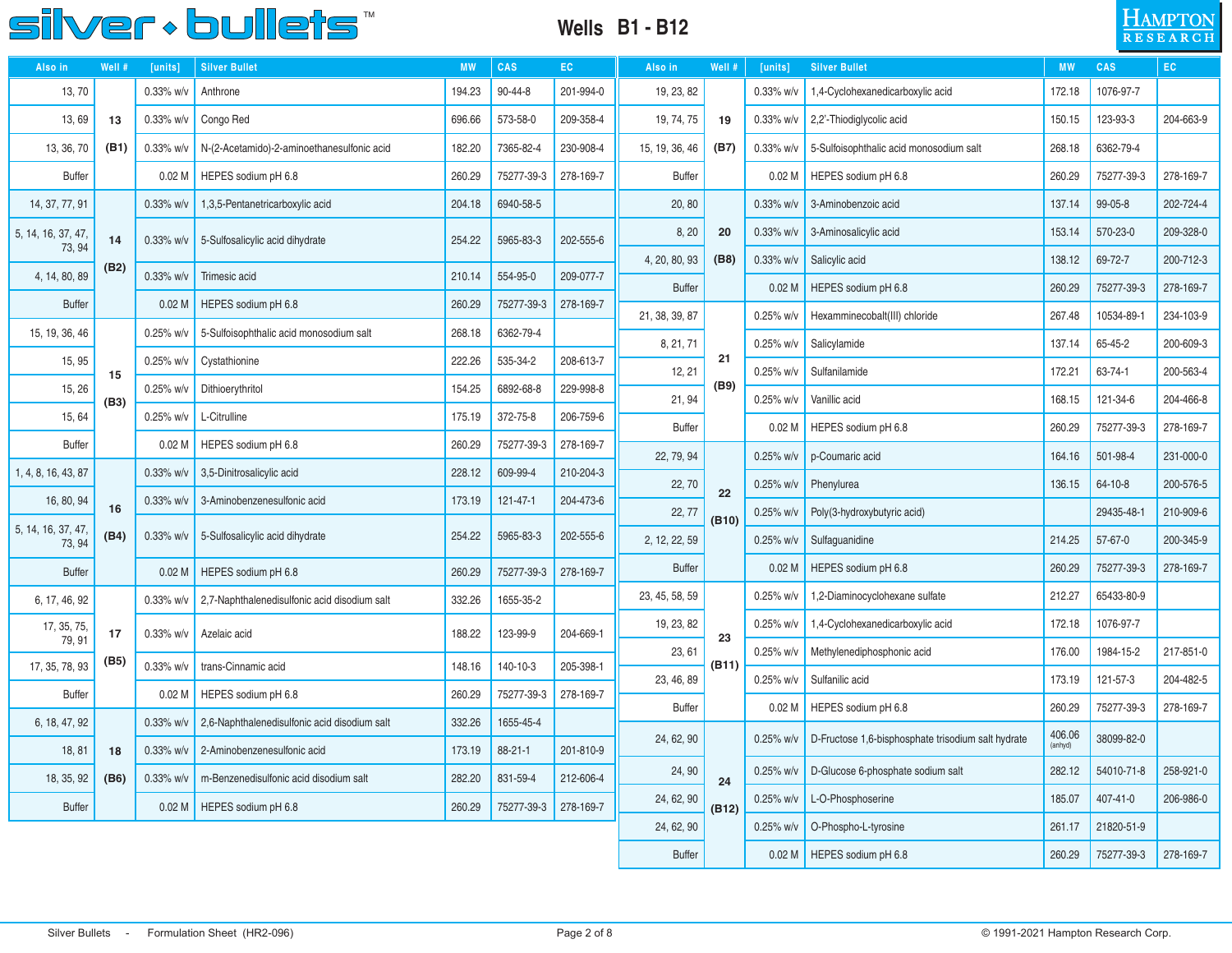

#### **Wells B1 - B12**



| Also in                      | Well # | [units]           | <b>Silver Bullet</b>                         | <b>MW</b>                                                | CAS           | EC.          | Also in        | Well #             | [units]           | <b>Silver Bullet</b>                               | <b>MW</b> | CAS           | EC.       |
|------------------------------|--------|-------------------|----------------------------------------------|----------------------------------------------------------|---------------|--------------|----------------|--------------------|-------------------|----------------------------------------------------|-----------|---------------|-----------|
| 13,70                        |        | 0.33% w/v         | Anthrone                                     | 194.23                                                   | 90-44-8       | 201-994-0    | 19, 23, 82     |                    | $0.33\%$ w/v      | 1,4-Cyclohexanedicarboxylic acid                   | 172.18    | 1076-97-7     |           |
| 13,69                        | 13     | 0.33% w/v         | Congo Red                                    | 696.66                                                   | 573-58-0      | 209-358-4    | 19, 74, 75     | 19                 | $0.33\%$ w/v      | 2,2'-Thiodiglycolic acid                           | 150.15    | 123-93-3      | 204-663-9 |
| 13, 36, 70                   | (B1)   | 0.33% w/v         | N-(2-Acetamido)-2-aminoethanesulfonic acid   | 182.20                                                   | 7365-82-4     | 230-908-4    | 15, 19, 36, 46 | (B7)               | $0.33\%$ w/v      | 5-Sulfoisophthalic acid monosodium salt            | 268.18    | 6362-79-4     |           |
| <b>Buffer</b>                |        | 0.02 <sub>M</sub> | HEPES sodium pH 6.8                          | 260.29                                                   | 75277-39-3    | 278-169-7    | <b>Buffer</b>  |                    | 0.02 <sub>M</sub> | HEPES sodium pH 6.8                                | 260.29    | 75277-39-3    | 278-169-7 |
| 14, 37, 77, 91               |        | 0.33% w/v         | 1,3,5-Pentanetricarboxylic acid              | 204.18                                                   | 6940-58-5     |              | 20, 80         |                    | $0.33\%$ w/v      | 3-Aminobenzoic acid                                | 137.14    | 99-05-8       | 202-724-4 |
| 5, 14, 16, 37, 47,<br>73, 94 | 14     | $0.33\%$ w/v      | 5-Sulfosalicylic acid dihydrate              | 254.22                                                   | 5965-83-3     | 202-555-6    | 8, 20          | $0.33\%$ w/v<br>20 |                   | 3-Aminosalicylic acid                              | 153.14    | 570-23-0      | 209-328-0 |
| 4, 14, 80, 89                | (B2)   | 0.33% w/v         | Trimesic acid                                | 4, 20, 80, 93<br>(B8)<br>554-95-0<br>209-077-7<br>210.14 |               | $0.33\%$ w/v | Salicylic acid | 138.12             | 69-72-7           | 200-712-3                                          |           |               |           |
| <b>Buffer</b>                |        | 0.02 <sub>M</sub> | HEPES sodium pH 6.8                          | 260.29                                                   | 75277-39-3    | 278-169-7    | <b>Buffer</b>  |                    | 0.02 <sub>M</sub> | HEPES sodium pH 6.8                                | 260.29    | 75277-39-3    | 278-169-7 |
|                              |        | $0.25%$ w/v       |                                              | 268.18                                                   | 6362-79-4     |              | 21, 38, 39, 87 |                    | $0.25%$ w/v       | Hexamminecobalt(III) chloride                      | 267.48    | 10534-89-1    | 234-103-9 |
| 15, 19, 36, 46               |        |                   | 5-Sulfoisophthalic acid monosodium salt      |                                                          |               |              | 8, 21, 71      |                    | 0.25% w/v         | Salicylamide                                       | 137.14    | 65-45-2       | 200-609-3 |
| 15, 95                       | 15     | 0.25% w/v         | Cystathionine                                | 222.26                                                   | 535-34-2      | 208-613-7    | 12, 21         | 21                 | $0.25%$ w/v       | Sulfanilamide                                      | 172.21    | 63-74-1       | 200-563-4 |
| 15, 26                       | (B3)   | 0.25% w/v         | Dithioerythritol                             | 154.25                                                   | 6892-68-8     | 229-998-8    | 21, 94         | (B9)               | 0.25% w/v         | Vanillic acid                                      | 168.15    | 121-34-6      | 204-466-8 |
| 15, 64                       |        | 0.25% w/v         | L-Citrulline                                 | 175.19                                                   | 372-75-8      | 206-759-6    | <b>Buffer</b>  | 0.02 <sub>M</sub>  |                   | HEPES sodium pH 6.8                                | 260.29    | 75277-39-3    | 278-169-7 |
| <b>Buffer</b>                |        | 0.02 <sub>M</sub> | HEPES sodium pH 6.8                          | 260.29                                                   | 75277-39-3    | 278-169-7    | 22, 79, 94     |                    | 0.25% w/v         | p-Coumaric acid                                    | 164.16    | 501-98-4      | 231-000-0 |
| 1, 4, 8, 16, 43, 87          |        | 0.33% w/v         | 3,5-Dinitrosalicylic acid                    | 228.12                                                   | 609-99-4      | 210-204-3    | 22, 70         |                    | $0.25%$ w/v       | Phenylurea                                         | 136.15    | $64 - 10 - 8$ | 200-576-5 |
| 16, 80, 94                   | 16     | 0.33% w/v         | 3-Aminobenzenesulfonic acid                  | 173.19                                                   | 121-47-1      | 204-473-6    | 22, 77         | 22                 | $0.25%$ w/v       | Poly(3-hydroxybutyric acid)                        |           | 29435-48-1    | 210-909-6 |
| 5, 14, 16, 37, 47,<br>73, 94 | (B4)   | 0.33% w/v         | 5-Sulfosalicylic acid dihydrate              | 254.22                                                   | 5965-83-3     | 202-555-6    | 2, 12, 22, 59  | (B10)              | 0.25% w/v         | Sulfaguanidine                                     | 214.25    | $57 - 67 - 0$ | 200-345-9 |
| <b>Buffer</b>                |        | 0.02 <sub>M</sub> | HEPES sodium pH 6.8                          | 260.29                                                   | 75277-39-3    | 278-169-7    | <b>Buffer</b>  |                    | 0.02 <sub>M</sub> | HEPES sodium pH 6.8                                | 260.29    | 75277-39-3    | 278-169-7 |
| 6, 17, 46, 92                |        | 0.33% w/v         | 2,7-Naphthalenedisulfonic acid disodium salt | 332.26                                                   | 1655-35-2     |              | 23, 45, 58, 59 |                    | $0.25\%$ w/v      | 1,2-Diaminocyclohexane sulfate                     | 212.27    | 65433-80-9    |           |
| 17, 35, 75,                  | 17     | $0.33\%$ w/v      | Azelaic acid                                 | 188.22                                                   | 123-99-9      | 204-669-1    | 19, 23, 82     |                    | $0.25%$ w/v       | 1,4-Cyclohexanedicarboxylic acid                   | 172.18    | 1076-97-7     |           |
| 79, 91                       | (B5)   |                   |                                              |                                                          |               |              | 23, 61         | 23                 | 0.25% w/v         | Methylenediphosphonic acid                         | 176.00    | 1984-15-2     | 217-851-0 |
| 17, 35, 78, 93               |        | 0.33% w/v         | trans-Cinnamic acid                          | 148.16                                                   | 140-10-3      | 205-398-1    | 23, 46, 89     | (B11)              | 0.25% w/v         | Sulfanilic acid                                    | 173.19    | 121-57-3      | 204-482-5 |
| <b>Buffer</b>                |        | 0.02 <sub>M</sub> | HEPES sodium pH 6.8                          | 260.29                                                   | 75277-39-3    | 278-169-7    | <b>Buffer</b>  |                    | 0.02 <sub>M</sub> | HEPES sodium pH 6.8                                | 260.29    | 75277-39-3    | 278-169-7 |
| 6, 18, 47, 92                |        | $0.33\%$ w/v      | 2,6-Naphthalenedisulfonic acid disodium salt | 332.26                                                   | 1655-45-4     |              |                |                    |                   |                                                    | 406.06    |               |           |
| 18, 81                       | 18     | $0.33\%$ w/v      | 2-Aminobenzenesulfonic acid                  | 173.19                                                   | $88 - 21 - 1$ | 201-810-9    | 24, 62, 90     |                    | $0.25%$ w/v       | D-Fructose 1,6-bisphosphate trisodium salt hydrate | (anhyd)   | 38099-82-0    |           |
| 18, 35, 92                   | (B6)   | 0.33% w/v         | m-Benzenedisulfonic acid disodium salt       | 282.20                                                   | 831-59-4      | 212-606-4    | 24, 90         | 24                 | $0.25%$ w/v       | D-Glucose 6-phosphate sodium salt                  | 282.12    | 54010-71-8    | 258-921-0 |
| <b>Buffer</b>                |        | 0.02 <sub>M</sub> | HEPES sodium pH 6.8                          | 260.29                                                   | 75277-39-3    | 278-169-7    | 24, 62, 90     | (B12)              | $0.25%$ w/v       | L-O-Phosphoserine                                  | 185.07    | 407-41-0      | 206-986-0 |
|                              |        |                   |                                              |                                                          |               |              | 24, 62, 90     |                    | $0.25%$ w/v       | O-Phospho-L-tyrosine                               | 261.17    | 21820-51-9    |           |
|                              |        |                   |                                              |                                                          |               |              | <b>Buffer</b>  |                    | 0.02 <sub>M</sub> | HEPES sodium pH 6.8                                | 260.29    | 75277-39-3    | 278-169-7 |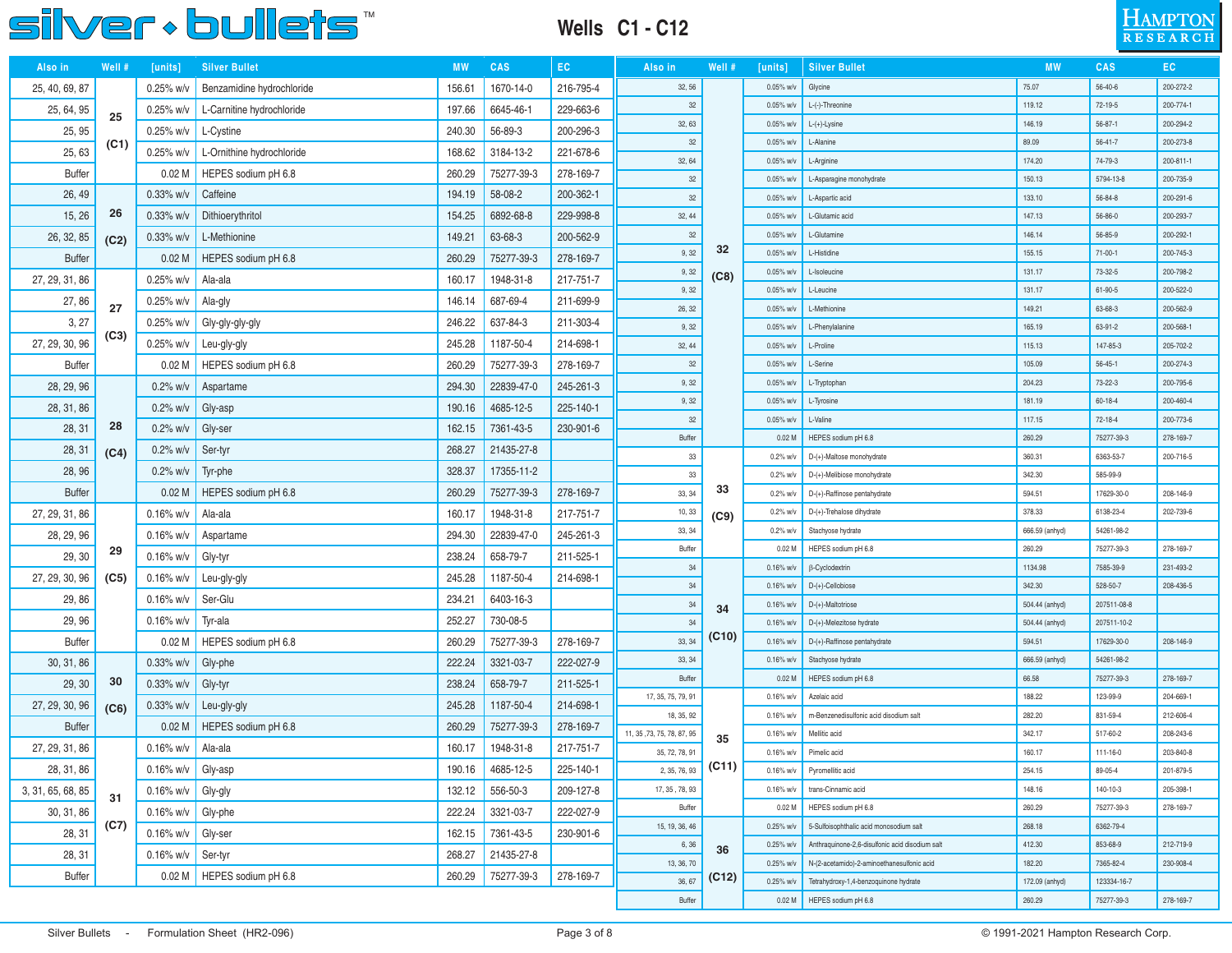### **Wells C1 - C12**



| Also in           | Well # | [units]              | <b>Silver Bullet</b>         | <b>MW</b> | CAS              | EC.       | Also in                    | Well # | [units]                      | <b>Silver Bullet</b>                            | <b>MW</b>                | CAS                     | EC                     |
|-------------------|--------|----------------------|------------------------------|-----------|------------------|-----------|----------------------------|--------|------------------------------|-------------------------------------------------|--------------------------|-------------------------|------------------------|
| 25, 40, 69, 87    |        | $0.25\%$ w/v         | Benzamidine hydrochloride    | 156.61    | 1670-14-0        | 216-795-4 | 32, 56                     |        | $0.05\%$ w/v                 | Glycine                                         | 75.07                    | $56 - 40 - 6$           | 200-272-2              |
| 25, 64, 95        | 25     | $0.25\%$ w/v         | L-Carnitine hydrochloride    | 197.66    | 6645-46-1        | 229-663-6 | 32                         |        | 0.05% w/v                    | L-(-)-Threonine                                 | 119.12                   | 72-19-5                 | 200-774-1              |
| 25, 95            |        | $0.25\%$ w/v         | L-Cystine                    | 240.30    | 56-89-3          | 200-296-3 | 32, 63                     |        | 0.05% w/v                    | L-(+)-Lysine                                    | 146.19                   | $56 - 87 - 1$           | 200-294-2              |
| 25,63             | (C1)   | $0.25\%$ w/v         | L-Ornithine hydrochloride    | 168.62    | 3184-13-2        | 221-678-6 | 32                         |        | 0.05% w/v                    | L-Alanine                                       | 89.09                    | $56 - 41 - 7$           | 200-273-8              |
| <b>Buffer</b>     |        | 0.02 <sub>M</sub>    | HEPES sodium pH 6.8          | 260.29    | 75277-39-3       | 278-169-7 | 32, 64                     |        | 0.05% w/v                    | L-Arginine                                      | 174.20                   | 74-79-3                 | 200-811-1              |
| 26, 49            |        | $0.33\%$ w/v         | Caffeine                     | 194.19    | 58-08-2          | 200-362-1 | 32                         |        | 0.05% w/v                    | L-Asparagine monohydrate                        | 150.13                   | 5794-13-8               | 200-735-9              |
|                   | 26     |                      |                              |           |                  |           | 32                         |        | 0.05% w/v                    | L-Aspartic acid                                 | 133.10                   | 56-84-8                 | 200-291-6              |
| 15, 26            |        | $0.33\%$ w/v         | Dithioerythritol             | 154.25    | 6892-68-8        | 229-998-8 | 32, 44<br>32               |        | 0.05% w/v<br>0.05% w/v       | L-Glutamic acid<br>L-Glutamine                  | 147.13<br>146.14         | 56-86-0<br>56-85-9      | 200-293-7<br>200-292-1 |
| 26, 32, 85        | (C2)   | $0.33\%$ w/v         | L-Methionine                 | 149.21    | 63-68-3          | 200-562-9 | 9,32                       | 32     | 0.05% w/v                    | L-Histidine                                     | 155.15                   | $71-00-1$               | 200-745-3              |
| <b>Buffer</b>     |        | 0.02 <sub>M</sub>    | HEPES sodium pH 6.8          | 260.29    | 75277-39-3       | 278-169-7 | 9,32                       |        | 0.05% w/v                    | L-Isoleucine                                    | 131.17                   | 73-32-5                 | 200-798-2              |
| 27, 29, 31, 86    |        | $0.25%$ w/v          | Ala-ala                      | 160.17    | 1948-31-8        | 217-751-7 | 9,32                       | (C8)   | 0.05% w/v                    | L-Leucine                                       | 131.17                   | 61-90-5                 | 200-522-0              |
| 27,86             | 27     | $0.25\%$ w/v         | Ala-gly                      | 146.14    | 687-69-4         | 211-699-9 | 26, 32                     |        | 0.05% w/v                    | L-Methionine                                    | 149.21                   | 63-68-3                 | 200-562-9              |
| 3, 27             |        | $0.25%$ w/v          | Gly-gly-gly-gly              | 246.22    | 637-84-3         | 211-303-4 | 9,32                       |        | 0.05% w/v                    | L-Phenylalanine                                 | 165.19                   | 63-91-2                 | 200-568-1              |
| 27, 29, 30, 96    | (C3)   | $0.25\%$ w/v         | Leu-gly-gly                  | 245.28    | 1187-50-4        | 214-698-1 | 32, 44                     |        | 0.05% w/v                    | L-Proline                                       | 115.13                   | 147-85-3                | 205-702-2              |
| <b>Buffer</b>     |        | 0.02 <sub>M</sub>    | HEPES sodium pH 6.8          | 260.29    | 75277-39-3       | 278-169-7 | 32                         |        | 0.05% w/v                    | L-Serine                                        | 105.09                   | $56 - 45 - 1$           | 200-274-3              |
| 28, 29, 96        |        | $0.2\%$ w/v          | Aspartame                    | 294.30    | 22839-47-0       | 245-261-3 | 9,32                       |        | 0.05% w/v                    | L-Tryptophan                                    | 204.23                   | 73-22-3                 | 200-795-6              |
| 28, 31, 86        |        | $0.2\%$ w/v          | Gly-asp                      | 190.16    | 4685-12-5        | 225-140-1 | 9,32                       |        | 0.05% w/v                    | L-Tyrosine                                      | 181.19                   | $60 - 18 - 4$           | 200-460-4              |
| 28, 31            | 28     | $0.2\%$ w/v          | Gly-ser                      | 162.15    | 7361-43-5        | 230-901-6 | 32                         |        | 0.05% w/v                    | L-Valine                                        | 117.15                   | 72-18-4                 | 200-773-6              |
|                   |        |                      |                              |           |                  |           | Buffer                     |        | 0.02 <sub>M</sub>            | HEPES sodium pH 6.8                             | 260.29                   | 75277-39-3              | 278-169-7              |
| 28, 31            | (C4)   | $0.2\%$ w/v          | Ser-tyr                      | 268.27    | 21435-27-8       |           | 33                         |        | $0.2\%$ w/v                  | D-(+)-Maltose monohydrate                       | 360.31                   | 6363-53-7               | 200-716-5              |
| 28, 96            |        | $0.2\%$ w/v          | Tyr-phe                      | 328.37    | 17355-11-2       |           | 33                         |        | $0.2\%$ W/V                  | D-(+)-Melibiose monohydrate                     | 342.30                   | 585-99-9                |                        |
| <b>Buffer</b>     |        | 0.02 <sub>M</sub>    | HEPES sodium pH 6.8          | 260.29    | 75277-39-3       | 278-169-7 | 33, 34                     | 33     | $0.2\%$ W/V                  | D-(+)-Raffinose pentahydrate                    | 594.51                   | 17629-30-0              | 208-146-9              |
| 27, 29, 31, 86    |        | $0.16\%$ w/v         | Ala-ala                      | 160.17    | 1948-31-8        | 217-751-7 | 10, 33                     | (C9)   | $0.2\%$ W/V                  | D-(+)-Trehalose dihydrate                       | 378.33                   | 6138-23-4               | 202-739-6              |
| 28, 29, 96        |        | $0.16\%$ w/v         | Aspartame                    | 294.30    | 22839-47-0       | 245-261-3 | 33, 34                     |        | $0.2\%$ W/V                  | Stachyose hydrate                               | 666.59 (anhyd)           | 54261-98-2              |                        |
| 29, 30            | 29     | $0.16\%$ w/v         | Gly-tyr                      | 238.24    | 658-79-7         | 211-525-1 | Buffer                     |        | 0.02 <sub>M</sub>            | HEPES sodium pH 6.8                             | 260.29                   | 75277-39-3              | 278-169-7              |
| 27, 29, 30, 96    | (C5)   | $0.16\%$ w/v         | Leu-gly-gly                  | 245.28    | 1187-50-4        | 214-698-1 | 34                         |        | $0.16\%$ w/v                 | β-Cyclodextrin                                  | 1134.98                  | 7585-39-9               | 231-493-2              |
| 29,86             |        | $0.16\%$ w/v         | Ser-Glu                      | 234.21    | 6403-16-3        |           | 34<br>34                   |        | $0.16\%$ w/v<br>$0.16\%$ w/v | D-(+)-Cellobiose<br>D-(+)-Maltotriose           | 342.30<br>504.44 (anhyd) | 528-50-7<br>207511-08-8 | 208-436-5              |
| 29, 96            |        | $0.16\%$ w/v         | Tyr-ala                      | 252.27    | 730-08-5         |           | 34                         | 34     | $0.16\%$ w/v                 | D-(+)-Melezitose hydrate                        | 504.44 (anhyd)           | 207511-10-2             |                        |
| <b>Buffer</b>     |        | 0.02 <sub>M</sub>    | HEPES sodium pH 6.8          | 260.29    | 75277-39-3       | 278-169-7 | 33, 34                     | (C10)  | $0.16\%$ w/v                 | D-(+)-Raffinose pentahydrate                    | 594.51                   | 17629-30-0              | 208-146-9              |
| 30, 31, 86        |        | $0.33\%$ w/v         | Gly-phe                      | 222.24    | 3321-03-7        | 222-027-9 | 33, 34                     |        | $0.16\%$ w/v                 | Stachyose hydrate                               | 666.59 (anhyd)           | 54261-98-2              |                        |
|                   | 30     |                      |                              |           |                  |           | Buffer                     |        | 0.02M                        | HEPES sodium pH 6.8                             | 66.58                    | 75277-39-3              | 278-169-7              |
| 29, 30            |        | $0.33\%$ w/v         | Gly-tyr                      | 238.24    | 658-79-7         | 211-525-1 | 17, 35, 75, 79, 91         |        | $0.16\%$ w/v                 | Azelaic acid                                    | 188.22                   | 123-99-9                | 204-669-1              |
| 27, 29, 30, 96    | (C6)   | $0.33\%$ w/v         | Leu-gly-gly                  | 245.28    | 1187-50-4        | 214-698-1 | 18, 35, 92                 |        | $0.16\%$ w/v                 | m-Benzenedisulfonic acid disodium salt          | 282.20                   | 831-59-4                | 212-606-4              |
| <b>Buffer</b>     |        | 0.02 <sub>M</sub>    | HEPES sodium pH 6.8          | 260.29    | 75277-39-3       | 278-169-7 | 11, 35, 73, 75, 78, 87, 95 | 35     | 0.16% w/v                    | Mellitic acid                                   | 342.17                   | 517-60-2                | 208-243-6              |
| 27, 29, 31, 86    |        | $0.16\%$ w/v         | Ala-ala                      | 160.17    | 1948-31-8        | 217-751-7 | 35, 72, 78, 91             |        | $0.16\%$ w/v                 | Pimelic acid                                    | 160.17                   | $111 - 16 - 0$          | 203-840-8              |
| 28, 31, 86        |        | $0.16\%$ w/v Gly-asp |                              |           | 190.16 4685-12-5 | 225-140-1 | $2, 35, 76, 93$ (C11)      |        | $0.16\%$ w/v                 | Pyromellitic acid                               | 254.15                   | 89-05-4                 | 201-879-5              |
| 3, 31, 65, 68, 85 | 31     | $0.16\%$ w/v Gly-gly |                              | 132.12    | 556-50-3         | 209-127-8 | 17, 35, 78, 93             |        | $0.16\%$ w/v                 | trans-Cinnamic acid                             | 148.16                   | 140-10-3                | 205-398-1              |
| 30, 31, 86        |        | 0.16% w/v Gly-phe    |                              | 222.24    | 3321-03-7        | 222-027-9 | Buffer                     |        | 0.02 <sub>M</sub>            | HEPES sodium pH 6.8                             | 260.29                   | 75277-39-3              | 278-169-7              |
| 28, 31            | (C7)   | 0.16% w/v Gly-ser    |                              | 162.15    | 7361-43-5        | 230-901-6 | 15, 19, 36, 46             |        | $0.25\%$ w/v                 | 5-Sulfoisophthalic acid monosodium salt         | 268.18                   | 6362-79-4               |                        |
| 28, 31            |        | $0.16\%$ w/v Ser-tyr |                              | 268.27    | 21435-27-8       |           | 6, 36                      | 36     | $0.25\%$ w/v                 | Anthraquinone-2,6-disulfonic acid disodium salt | 412.30                   | 853-68-9                | 212-719-9              |
| <b>Buffer</b>     |        |                      | 0.02 M   HEPES sodium pH 6.8 | 260.29    | 75277-39-3       | 278-169-7 | 13, 36, 70                 |        | $0.25%$ w/v                  | N-(2-acetamido)-2-aminoethanesulfonic acid      | 182.20                   | 7365-82-4               | 230-908-4              |
|                   |        |                      |                              |           |                  |           | 36, 67                     | (C12)  | $0.25\%$ w/v                 | Tetrahydroxy-1,4-benzoquinone hydrate           | 172.09 (anhyd)           | 123334-16-7             |                        |
|                   |        |                      |                              |           |                  |           | Buffer                     |        |                              | 0.02 M HEPES sodium pH 6.8                      | 260.29                   | 75277-39-3              | 278-169-7              |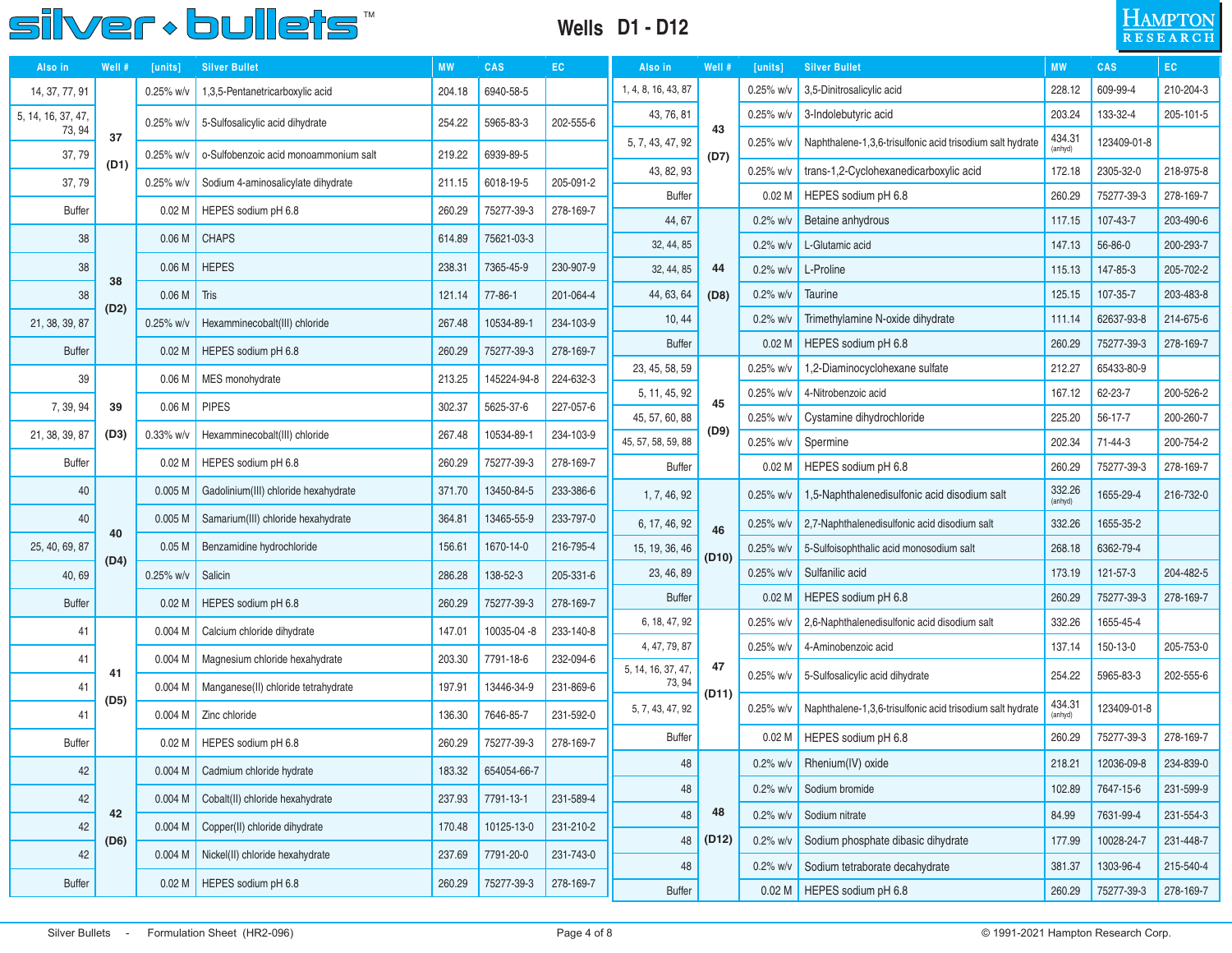#### **Wells D1 - D12**



| Also in            | Well # | [units]           | <b>Silver Bullet</b>                  |        | <b>CAS</b>    | EC        | Also in                      | Well # | [units]           | <b>Silver Bullet</b>                                                  |                   | <b>CAS</b>  | EC.       |
|--------------------|--------|-------------------|---------------------------------------|--------|---------------|-----------|------------------------------|--------|-------------------|-----------------------------------------------------------------------|-------------------|-------------|-----------|
| 14, 37, 77, 91     |        | 0.25% w/v         | 1,3,5-Pentanetricarboxylic acid       | 204.18 | 6940-58-5     |           | 1, 4, 8, 16, 43, 87          |        | $0.25\%$ w/v      | 3,5-Dinitrosalicylic acid                                             | 228.12            | 609-99-4    | 210-204-3 |
| 5, 14, 16, 37, 47, |        | 0.25% w/v         | 5-Sulfosalicylic acid dihydrate       | 254.22 | 5965-83-3     | 202-555-6 | 43, 76, 81                   |        | $0.25\%$ w/v      | 3-Indolebutyric acid                                                  | 203.24            | 133-32-4    | 205-101-5 |
| 73, 94             | 37     |                   | o-Sulfobenzoic acid monoammonium salt |        |               |           | 5, 7, 43, 47, 92             | 43     | $0.25%$ w/v       | Naphthalene-1,3,6-trisulfonic acid trisodium salt hydrate             | 434.31<br>(anhyd) | 123409-01-8 |           |
| 37,79              | (D1)   | 0.25% w/v         |                                       | 219.22 | 6939-89-5     |           | 43, 82, 93                   | (D7)   | $0.25%$ w/v       | trans-1,2-Cyclohexanedicarboxylic acid                                | 172.18            | 2305-32-0   | 218-975-8 |
| 37,79              |        | 0.25% w/v         | Sodium 4-aminosalicylate dihydrate    | 211.15 | 6018-19-5     | 205-091-2 | <b>Buffer</b>                |        | 0.02 <sub>M</sub> | HEPES sodium pH 6.8                                                   | 260.29            | 75277-39-3  | 278-169-7 |
| <b>Buffer</b>      |        | 0.02 <sub>M</sub> | HEPES sodium pH 6.8                   | 260.29 | 75277-39-3    | 278-169-7 | 44, 67                       |        | $0.2\%$ w/v       | Betaine anhydrous                                                     | 117.15            | 107-43-7    | 203-490-6 |
| 38                 |        | 0.06 <sub>M</sub> | <b>CHAPS</b>                          | 614.89 | 75621-03-3    |           | 32, 44, 85                   |        | $0.2\%$ w/v       | L-Glutamic acid                                                       | 147.13            | 56-86-0     | 200-293-7 |
| 38                 | 38     | 0.06 <sub>M</sub> | <b>HEPES</b>                          | 238.31 | 7365-45-9     | 230-907-9 | 32, 44, 85                   | 44     | $0.2\%$ w/v       | L-Proline                                                             | 115.13            | 147-85-3    | 205-702-2 |
| 38                 |        | 0.06 <sub>M</sub> | Tris                                  | 121.14 | $77 - 86 - 1$ | 201-064-4 | 44, 63, 64                   | (D8)   | $0.2\%$ w/v       | Taurine                                                               | 125.15            | 107-35-7    | 203-483-8 |
| 21, 38, 39, 87     | (D2)   | 0.25% w/v         | Hexamminecobalt(III) chloride         | 267.48 | 10534-89-1    | 234-103-9 | 10, 44                       |        |                   | Trimethylamine N-oxide dihydrate                                      | 111.14            | 62637-93-8  | 214-675-6 |
| <b>Buffer</b>      |        | 0.02 <sub>M</sub> | HEPES sodium pH 6.8                   | 260.29 | 75277-39-3    | 278-169-7 | <b>Buffer</b>                |        |                   | HEPES sodium pH 6.8                                                   | 260.29            | 75277-39-3  | 278-169-7 |
| 39                 |        | 0.06 <sub>M</sub> | MES monohydrate                       | 213.25 | 145224-94-8   | 224-632-3 | 23, 45, 58, 59               |        | 0.25% w/v         | 1,2-Diaminocyclohexane sulfate                                        | 212.27            | 65433-80-9  |           |
|                    |        |                   | <b>PIPES</b>                          |        |               |           | 5, 11, 45, 92                | 45     | $0.25%$ w/v       | 4-Nitrobenzoic acid                                                   | 167.12            | 62-23-7     | 200-526-2 |
| 7, 39, 94          | 39     | 0.06 <sub>M</sub> |                                       | 302.37 | 5625-37-6     | 227-057-6 | 45, 57, 60, 88               |        | $0.25%$ w/v       | Cystamine dihydrochloride                                             | 225.20            | 56-17-7     | 200-260-7 |
| 21, 38, 39, 87     | (D3)   | 0.33% w/v         | Hexamminecobalt(III) chloride         | 267.48 | 10534-89-1    | 234-103-9 | 45, 57, 58, 59, 88           | (D9)   | $0.25\%$ w/v      | Spermine                                                              | 202.34            | 71-44-3     | 200-754-2 |
| <b>Buffer</b>      |        | 0.02 <sub>M</sub> | HEPES sodium pH 6.8                   | 260.29 | 75277-39-3    | 278-169-7 | <b>Buffer</b>                |        | 0.02 <sub>M</sub> | HEPES sodium pH 6.8                                                   | 260.29            | 75277-39-3  | 278-169-7 |
| 40                 |        | 0.005M            | Gadolinium(III) chloride hexahydrate  | 371.70 | 13450-84-5    | 233-386-6 | 1, 7, 46, 92                 |        | $0.25%$ w/v       | 1,5-Naphthalenedisulfonic acid disodium salt                          | 332.26<br>(anhyd) | 1655-29-4   | 216-732-0 |
| 40                 | 40     | 0.005M            | Samarium(III) chloride hexahydrate    | 364.81 | 13465-55-9    | 233-797-0 | 6, 17, 46, 92                | 46     | $0.25\%$ w/v      | 2,7-Naphthalenedisulfonic acid disodium salt                          | 332.26            | 1655-35-2   |           |
| 25, 40, 69, 87     |        | 0.05 <sub>M</sub> | Benzamidine hydrochloride             | 156.61 | 1670-14-0     | 216-795-4 | 15, 19, 36, 46               | (D10)  | $0.25%$ w/v       | 5-Sulfoisophthalic acid monosodium salt                               | 268.18            | 6362-79-4   |           |
| 40,69              | (D4)   | 0.25% w/v         | Salicin                               | 286.28 | 138-52-3      | 205-331-6 | 23, 46, 89                   |        | $0.25\%$ w/v      | Sulfanilic acid                                                       | 173.19            | 121-57-3    | 204-482-5 |
| <b>Buffer</b>      |        | 0.02 <sub>M</sub> | HEPES sodium pH 6.8                   | 260.29 | 75277-39-3    | 278-169-7 | <b>Buffer</b>                |        | 0.02 <sub>M</sub> | HEPES sodium pH 6.8                                                   | 260.29            | 75277-39-3  | 278-169-7 |
| 41                 |        | 0.004M            | Calcium chloride dihydrate            | 147.01 | 10035-04-8    | 233-140-8 | 6, 18, 47, 92                |        | $0.25%$ w/v       | 2,6-Naphthalenedisulfonic acid disodium salt                          | 332.26            | 1655-45-4   |           |
| 41                 |        | 0.004M            | Magnesium chloride hexahydrate        | 203.30 | 7791-18-6     | 232-094-6 | 4, 47, 79, 87                |        | $0.25%$ w/v       | 4-Aminobenzoic acid                                                   | 137.14            | 150-13-0    | 205-753-0 |
| 41                 | 41     | 0.004M            | Manganese(II) chloride tetrahydrate   | 197.91 | 13446-34-9    | 231-869-6 | 5, 14, 16, 37, 47,<br>73, 94 | 47     | $0.25\%$ w/v      | 5-Sulfosalicylic acid dihydrate                                       | 254.22            | 5965-83-3   | 202-555-6 |
| 41                 | (D5)   | 0.004M            | Zinc chloride                         | 136.30 | 7646-85-7     | 231-592-0 | 5, 7, 43, 47, 92             | (D11)  |                   | 0.25% w/v   Naphthalene-1,3,6-trisulfonic acid trisodium salt hydrate | 434.31<br>(anhyd) | 123409-01-8 |           |
| <b>Buffer</b>      |        | 0.02 <sub>M</sub> | HEPES sodium pH 6.8                   | 260.29 | 75277-39-3    | 278-169-7 | <b>Buffer</b>                |        |                   | 0.02 M   HEPES sodium pH 6.8                                          | 260.29            | 75277-39-3  | 278-169-7 |
| 42                 |        | 0.004 M           | Cadmium chloride hydrate              | 183.32 | 654054-66-7   |           | $\bf 48$                     |        |                   | 0.2% w/v Rhenium(IV) oxide                                            | 218.21            | 12036-09-8  | 234-839-0 |
| 42                 |        | 0.004M            | Cobalt(II) chloride hexahydrate       | 237.93 | 7791-13-1     | 231-589-4 | 48                           |        | $0.2\%$ w/v       | Sodium bromide                                                        | 102.89            | 7647-15-6   | 231-599-9 |
| 42                 | 42     | 0.004 M           | Copper(II) chloride dihydrate         | 170.48 | 10125-13-0    | 231-210-2 | 48                           | 48     | $0.2\%$ w/v       | Sodium nitrate                                                        | 84.99             | 7631-99-4   | 231-554-3 |
|                    | (D6)   |                   |                                       |        |               |           | 48                           | (D12)  | $0.2\%$ w/v       | Sodium phosphate dibasic dihydrate                                    | 177.99            | 10028-24-7  | 231-448-7 |
| 42                 |        | 0.004 M           | Nickel(II) chloride hexahydrate       | 237.69 | 7791-20-0     | 231-743-0 | 48                           |        | $0.2\%$ w/v       | Sodium tetraborate decahydrate                                        | 381.37            | 1303-96-4   | 215-540-4 |
| <b>Buffer</b>      |        | 0.02 <sub>M</sub> | HEPES sodium pH 6.8                   | 260.29 | 75277-39-3    | 278-169-7 | Buffer                       |        |                   | 0.02 M   HEPES sodium pH 6.8                                          | 260.29            | 75277-39-3  | 278-169-7 |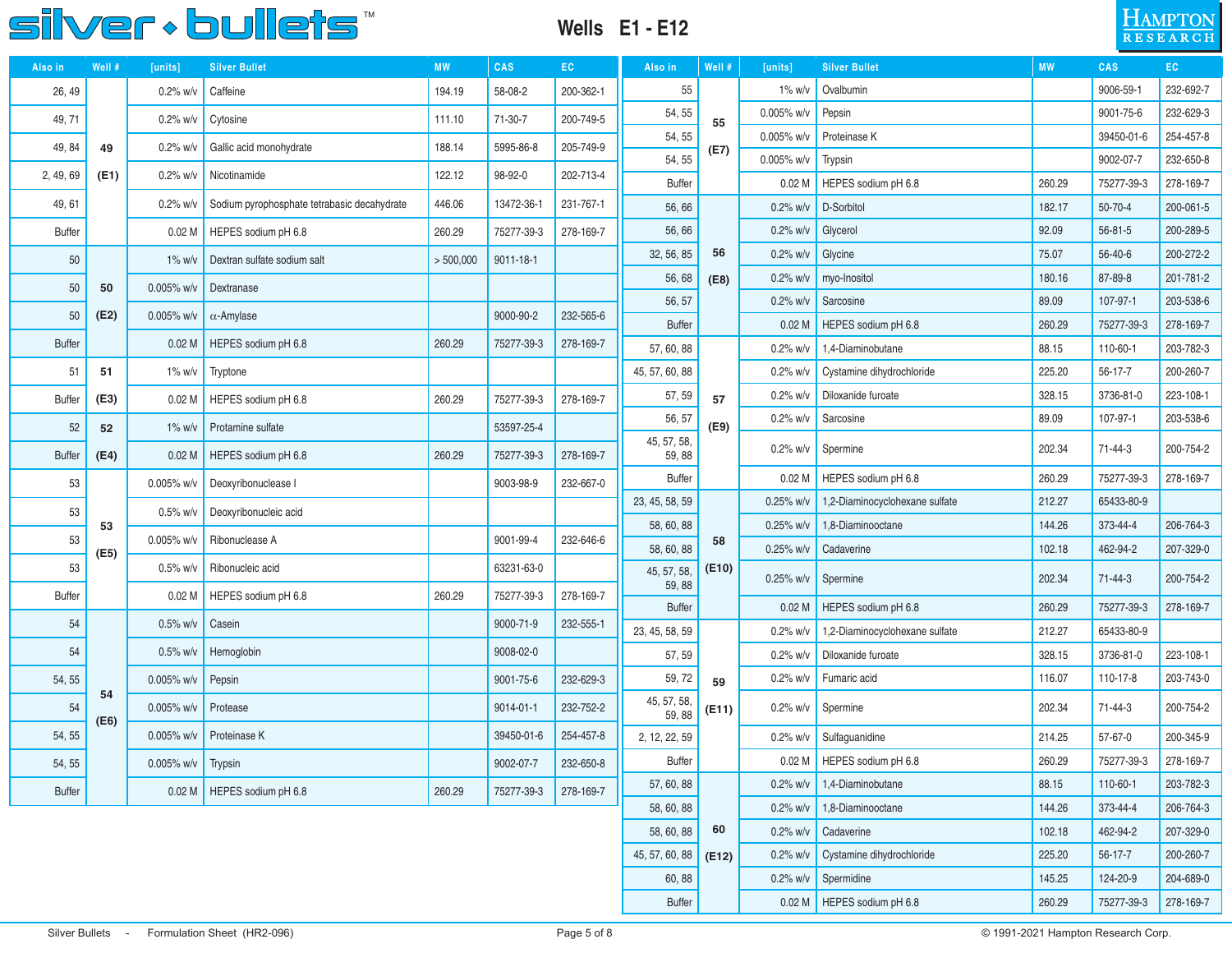

#### **Wells E1 - E12**



| Also in       | Well # | [units]            | <b>Silver Bullet</b>                        | <b>MW</b> | <b>CAS</b>      | EC        | Also in               | Well # | [units]           | <b>Silver Bullet</b>                  | <b>MW</b>       | <b>CAS</b>            | EC.       |
|---------------|--------|--------------------|---------------------------------------------|-----------|-----------------|-----------|-----------------------|--------|-------------------|---------------------------------------|-----------------|-----------------------|-----------|
| 26, 49        |        | $0.2\%$ w/v        | Caffeine                                    | 194.19    | 58-08-2         | 200-362-1 | 55                    |        | 1% w/v            | Ovalbumin                             |                 | 9006-59-1             | 232-692-7 |
| 49, 71        |        | $0.2\%$ w/v        | Cytosine                                    | 111.10    | 71-30-7         | 200-749-5 | 54, 55                | 55     | 0.005% w/v        | Pepsin                                |                 | 9001-75-6             | 232-629-3 |
| 49, 84        | 49     | $0.2\%$ w/v        | Gallic acid monohydrate                     | 188.14    | 5995-86-8       | 205-749-9 | 54, 55                | (E7)   | $0.005\%$ w/v     | Proteinase K                          |                 | 39450-01-6            | 254-457-8 |
| 2, 49, 69     | (E1)   | $0.2\%$ w/v        | Nicotinamide                                | 122.12    | 98-92-0         | 202-713-4 | 54, 55                |        | 0.005% w/v        | Trypsin                               |                 | 9002-07-7             | 232-650-8 |
|               |        |                    |                                             |           |                 |           | <b>Buffer</b>         |        | 0.02 <sub>M</sub> | HEPES sodium pH 6.8                   | 260.29          | 75277-39-3            | 278-169-7 |
| 49, 61        |        | $0.2\%$ w/v        | Sodium pyrophosphate tetrabasic decahydrate | 446.06    | 13472-36-1      | 231-767-1 | 56,66                 |        | $0.2\%$ w/v       | D-Sorbitol                            | 182.17          | $50 - 70 - 4$         | 200-061-5 |
| <b>Buffer</b> |        | 0.02 <sub>M</sub>  | HEPES sodium pH 6.8                         | 260.29    | 75277-39-3      | 278-169-7 | 56,66                 |        | $0.2\%$ w/v       | Glycerol                              | 92.09           | $56 - 81 - 5$         | 200-289-5 |
| 50            |        | $1\%$ w/v          | Dextran sulfate sodium salt                 | > 500,000 | 9011-18-1       |           | 32, 56, 85            | 56     | $0.2\%$ w/v       | Glycine                               | 75.07           | $56 - 40 - 6$         | 200-272-2 |
| 50            | 50     | 0.005% w/v         | Dextranase                                  |           |                 |           | 56,68                 | (E8)   | $0.2\%$ w/v       | myo-Inositol                          | 180.16          | 87-89-8               | 201-781-2 |
| 50            | (E2)   | $0.005\%$ w/v      | $\alpha$ -Amylase                           |           | 9000-90-2       | 232-565-6 | 56, 57                |        | $0.2\%$ w/v       | Sarcosine                             | 89.09           | 107-97-1              | 203-538-6 |
| <b>Buffer</b> |        | 0.02 <sub>M</sub>  | HEPES sodium pH 6.8                         | 260.29    | 75277-39-3      | 278-169-7 | <b>Buffer</b>         |        | 0.02 <sub>M</sub> | HEPES sodium pH 6.8                   | 260.29          | 75277-39-3            | 278-169-7 |
|               |        |                    |                                             |           |                 |           | 57, 60, 88            |        | $0.2\%$ w/v       | 1,4-Diaminobutane                     | 88.15           | 110-60-1              | 203-782-3 |
| 51            | 51     | $1\%$ W/V          | Tryptone                                    |           |                 |           | 45, 57, 60, 88        |        | $0.2\%$ w/v       | Cystamine dihydrochloride             | 225.20          | $56 - 17 - 7$         | 200-260-7 |
| <b>Buffer</b> | (E3)   | 0.02 <sub>M</sub>  | HEPES sodium pH 6.8                         | 260.29    | 75277-39-3      | 278-169-7 | 57, 59<br>56, 57      | 57     | $0.2\%$ w/v       | Diloxanide furoate                    | 328.15<br>89.09 | 3736-81-0<br>107-97-1 | 223-108-1 |
| 52            | 52     | $1\%$ w/v          | Protamine sulfate                           |           | 53597-25-4      |           | 45, 57, 58,           | (E9)   | $0.2\%$ w/v       | Sarcosine                             |                 |                       | 203-538-6 |
| <b>Buffer</b> | (E4)   | 0.02M              | HEPES sodium pH 6.8                         | 260.29    | 75277-39-3      | 278-169-7 | 59,88                 |        | $0.2\%$ w/v       | Spermine                              | 202.34          | 71-44-3               | 200-754-2 |
| 53            |        | 0.005% w/v         | Deoxyribonuclease I                         |           | 9003-98-9       | 232-667-0 | <b>Buffer</b>         |        | 0.02 <sub>M</sub> | HEPES sodium pH 6.8                   | 260.29          | 75277-39-3            | 278-169-7 |
| 53            |        | $0.5\%$ w/v        | Deoxyribonucleic acid                       |           |                 |           | 23, 45, 58, 59        |        | $0.25%$ w/v       | 1,2-Diaminocyclohexane sulfate        | 212.27          | 65433-80-9            |           |
| 53            | 53     | $0.005\%$ w/v      | Ribonuclease A                              |           | 9001-99-4       | 232-646-6 | 58, 60, 88            | 58     | 0.25% w/v         | 1,8-Diaminooctane                     | 144.26          | 373-44-4              | 206-764-3 |
| 53            | (E5)   | $0.5\%$ w/v        | Ribonucleic acid                            |           | 63231-63-0      |           | 58, 60, 88            | (E10)  | $0.25%$ w/v       | Cadaverine                            | 102.18          | 462-94-2              | 207-329-0 |
| <b>Buffer</b> |        | 0.02 <sub>M</sub>  | HEPES sodium pH 6.8                         | 260.29    | 75277-39-3      | 278-169-7 | 45, 57, 58,<br>59, 88 |        | $0.25%$ w/v       | Spermine                              | 202.34          | $71 - 44 - 3$         | 200-754-2 |
|               |        |                    |                                             |           |                 |           | <b>Buffer</b>         |        | 0.02 <sub>M</sub> | HEPES sodium pH 6.8                   | 260.29          | 75277-39-3            | 278-169-7 |
| 54            |        | $0.5\%$ w/v        | Casein                                      |           | 9000-71-9       | 232-555-1 | 23, 45, 58, 59        |        | $0.2%$ w/v        | 1,2-Diaminocyclohexane sulfate        | 212.27          | 65433-80-9            |           |
| 54            |        | $0.5\%$ w/v        | Hemoglobin                                  |           | 9008-02-0       |           | 57, 59                |        | $0.2%$ w/v        | Diloxanide furoate                    | 328.15          | 3736-81-0             | 223-108-1 |
| 54, 55        |        | 0.005% w/v         | Pepsin                                      |           | 9001-75-6       | 232-629-3 | 59, 72                | 59     | $0.2\%$ w/v       | Fumaric acid                          | 116.07          | 110-17-8              | 203-743-0 |
| 54            | 54     | 0.005% w/v         | Protease                                    |           | $9014 - 01 - 1$ | 232-752-2 | 45, 57, 58,<br>59, 88 | (E11)  | $0.2\%$ w/v       | Spermine                              | 202.34          | 71-44-3               | 200-754-2 |
| 54, 55        | (E6)   | 0.005% w/v         | Proteinase K                                |           | 39450-01-6      | 254-457-8 | 2, 12, 22, 59         |        |                   | $0.2\%$ w/v Sulfaquanidine            | 214.25          | 57-67-0               | 200-345-9 |
| 54, 55        |        | 0.005% w/v Trypsin |                                             |           | 9002-07-7       | 232-650-8 | <b>Buffer</b>         |        |                   | 0.02 M HEPES sodium pH 6.8            | 260.29          | 75277-39-3            | 278-169-7 |
| Buffer        |        |                    | 0.02 M   HEPES sodium pH 6.8                | 260.29    | 75277-39-3      | 278-169-7 | 57, 60, 88            |        |                   | $0.2\%$ w/v   1,4-Diaminobutane       | 88.15           | 110-60-1              | 203-782-3 |
|               |        |                    |                                             |           |                 |           | 58, 60, 88            |        |                   | $0.2\%$ w/v   1,8-Diaminooctane       | 144.26          | 373-44-4              | 206-764-3 |
|               |        |                    |                                             |           |                 |           | 58, 60, 88            | 60     |                   | $0.2\%$ w/v $\bigcup$ Cadaverine      | 102.18          | 462-94-2              | 207-329-0 |
|               |        |                    |                                             |           |                 |           | 45, 57, 60, 88        | (E12)  |                   | $0.2\%$ w/v Cystamine dihydrochloride | 225.20          | $56 - 17 - 7$         | 200-260-7 |
|               |        |                    |                                             |           |                 |           | 60, 88                |        |                   | $0.2\%$ w/v Spermidine                | 145.25          | 124-20-9              | 204-689-0 |
|               |        |                    |                                             |           |                 |           | <b>Buffer</b>         |        |                   | 0.02 M   HEPES sodium pH 6.8          | 260.29          | 75277-39-3            | 278-169-7 |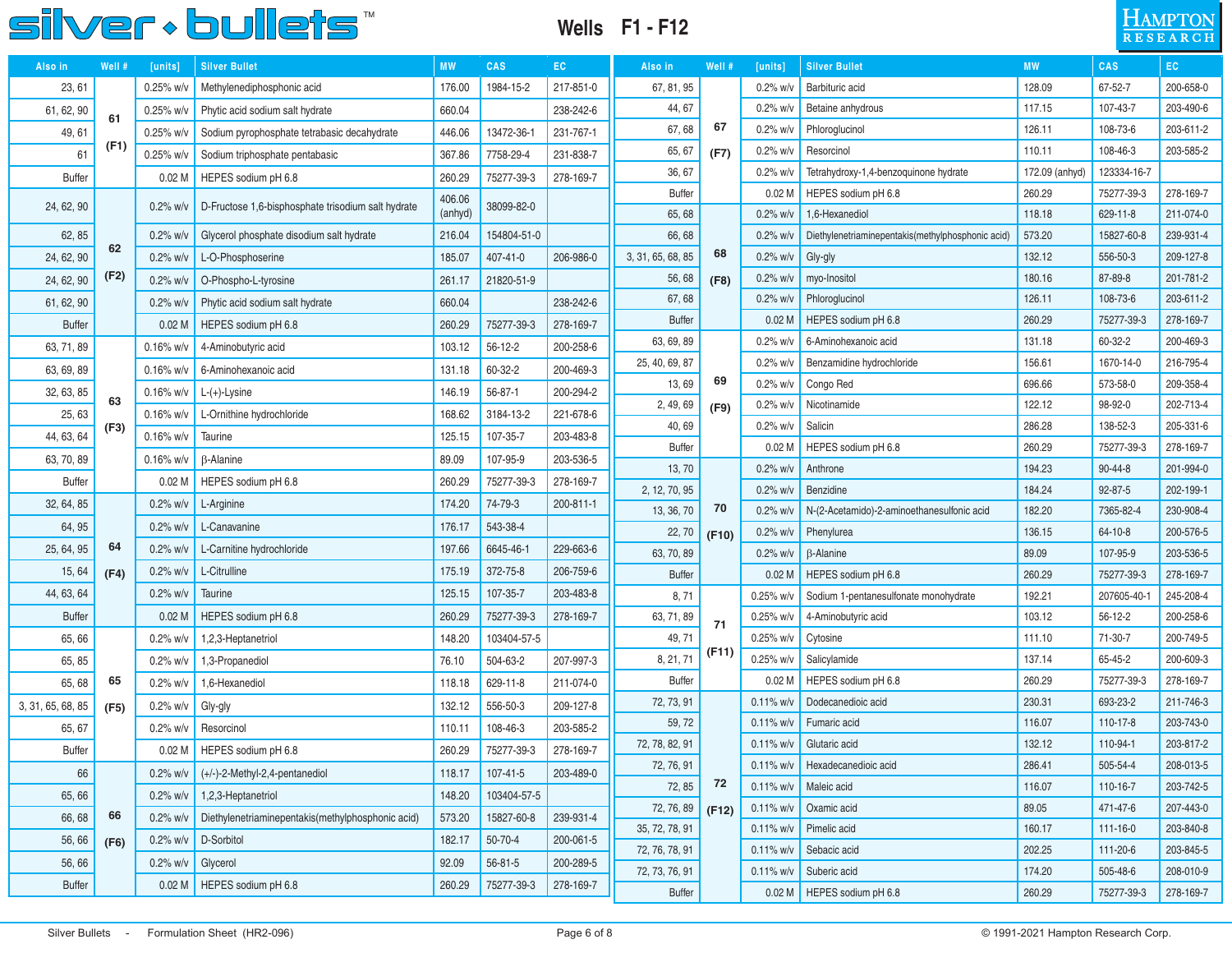### **Wells F1 - F12**

| $\rm H$ ampton  |  |
|-----------------|--|
| <b>RESEARCH</b> |  |

| Also in           | Well # | [units]           | <b>Silver Bullet</b>                               | <b>MW</b> | <b>CAS</b>    | EC        | Also in                     | Well # | [units]                       | <b>Silver Bullet</b>                              | <b>MW</b>       | CAS                    | EC.                    |
|-------------------|--------|-------------------|----------------------------------------------------|-----------|---------------|-----------|-----------------------------|--------|-------------------------------|---------------------------------------------------|-----------------|------------------------|------------------------|
| 23, 61            |        | 0.25% w/v         | Methylenediphosphonic acid                         | 176.00    | 1984-15-2     | 217-851-0 | 67, 81, 95                  |        | $0.2%$ w/v                    | Barbituric acid                                   | 128.09          | 67-52-7                | 200-658-0              |
| 61, 62, 90        | 61     | 0.25% w/v         | Phytic acid sodium salt hydrate                    | 660.04    |               | 238-242-6 | 44, 67                      |        | $0.2%$ w/v                    | Betaine anhydrous                                 | 117.15          | 107-43-7               | 203-490-6              |
| 49, 61            |        | $0.25%$ w/v       | Sodium pyrophosphate tetrabasic decahydrate        | 446.06    | 13472-36-1    | 231-767-1 | 67,68                       | 67     | $0.2%$ w/v                    | Phloroglucinol                                    | 126.11          | 108-73-6               | 203-611-2              |
| 61                | (F1)   | 0.25% w/v         | Sodium triphosphate pentabasic                     | 367.86    | 7758-29-4     | 231-838-7 | 65, 67                      | (F7)   | $0.2%$ w/v                    | Resorcinol                                        | 110.11          | 108-46-3               | 203-585-2              |
| <b>Buffer</b>     |        | 0.02 <sub>M</sub> | HEPES sodium pH 6.8                                | 260.29    | 75277-39-3    | 278-169-7 | 36, 67                      |        | $0.2%$ w/v                    | Tetrahydroxy-1,4-benzoquinone hydrate             | 172.09 (anhyd)  | 123334-16-7            |                        |
| 24, 62, 90        |        | $0.2\%$ w/v       | D-Fructose 1,6-bisphosphate trisodium salt hydrate | 406.06    | 38099-82-0    |           | <b>Buffer</b>               |        | 0.02 <sub>M</sub>             | HEPES sodium pH 6.8                               | 260.29          | 75277-39-3             | 278-169-7              |
|                   |        |                   |                                                    | (anhyd)   |               |           | 65, 68                      |        | $0.2%$ w/v                    | 1,6-Hexanediol                                    | 118.18          | 629-11-8               | 211-074-0              |
| 62, 85            | 62     | $0.2%$ w/v        | Glycerol phosphate disodium salt hydrate           | 216.04    | 154804-51-0   |           | 66,68                       |        | $0.2%$ w/v                    | Diethylenetriaminepentakis(methylphosphonic acid) | 573.20          | 15827-60-8             | 239-931-4              |
| 24, 62, 90        |        | $0.2%$ w/v        | L-O-Phosphoserine                                  | 185.07    | 407-41-0      | 206-986-0 | 3, 31, 65, 68, 85           | 68     | $0.2%$ w/v                    | Gly-gly                                           | 132.12          | 556-50-3               | 209-127-8              |
| 24, 62, 90        | (F2)   | $0.2\%$ w/v       | O-Phospho-L-tyrosine                               | 261.17    | 21820-51-9    |           | 56,68                       | (F8)   | $0.2%$ w/v                    | myo-Inositol                                      | 180.16          | 87-89-8                | 201-781-2              |
| 61, 62, 90        |        | $0.2%$ w/v        | Phytic acid sodium salt hydrate                    | 660.04    |               | 238-242-6 | 67, 68                      |        | $0.2%$ w/v                    | Phloroglucinol                                    | 126.11          | 108-73-6               | 203-611-2              |
| <b>Buffer</b>     |        | 0.02 <sub>M</sub> | HEPES sodium pH 6.8                                | 260.29    | 75277-39-3    | 278-169-7 | <b>Buffer</b>               |        | 0.02 <sub>M</sub>             | HEPES sodium pH 6.8                               | 260.29          | 75277-39-3             | 278-169-7              |
| 63, 71, 89        |        | $0.16\%$ w/v      | 4-Aminobutyric acid                                | 103.12    | $56 - 12 - 2$ | 200-258-6 | 63, 69, 89                  |        | $0.2\%$ w/                    | 6-Aminohexanoic acid                              | 131.18          | 60-32-2                | 200-469-3              |
| 63, 69, 89        |        | $0.16\%$ w/v      | 6-Aminohexanoic acid                               | 131.18    | 60-32-2       | 200-469-3 | 25, 40, 69, 87              |        | $0.2%$ w/v                    | Benzamidine hydrochloride                         | 156.61          | 1670-14-0              | 216-795-4              |
| 32, 63, 85        | 63     | 0.16% w/v         | $L-(+)$ -Lysine                                    | 146.19    | 56-87-1       | 200-294-2 | 13,69                       | 69     | $0.2%$ w/v                    | Congo Red                                         | 696.66          | 573-58-0               | 209-358-4              |
| 25, 63            |        | $0.16\%$ w/v      | L-Ornithine hydrochloride                          | 168.62    | 3184-13-2     | 221-678-6 | 2, 49, 69                   | (F9)   | $0.2%$ w/v                    | Nicotinamide                                      | 122.12          | 98-92-0                | 202-713-4              |
| 44, 63, 64        | (F3)   | $0.16\%$ w/v      | Taurine                                            | 125.15    | 107-35-7      | 203-483-8 | 40,69                       |        | $0.2%$ w/v                    | Salicin                                           | 286.28          | 138-52-3               | 205-331-6              |
| 63, 70, 89        |        | $0.16\%$ w/v      | <b>B-Alanine</b>                                   | 89.09     | 107-95-9      | 203-536-5 | <b>Buffer</b>               |        | 0.02 <sub>M</sub>             | HEPES sodium pH 6.8                               | 260.29          | 75277-39-3             | 278-169-7              |
| <b>Buffer</b>     |        | 0.02 <sub>M</sub> | HEPES sodium pH 6.8                                | 260.29    | 75277-39-3    | 278-169-7 | 13, 70                      |        | $0.2%$ w/v                    | Anthrone                                          | 194.23          | $90 - 44 - 8$          | 201-994-0              |
| 32, 64, 85        |        | $0.2\%$ w/v       | L-Arginine                                         | 174.20    | 74-79-3       | 200-811-1 | 2, 12, 70, 95               | 70     | $0.2%$ w/v                    | Benzidine                                         | 184.24          | $92 - 87 - 5$          | 202-199-1              |
| 64, 95            |        | $0.2%$ w/v        | L-Canavanine                                       | 176.17    | 543-38-4      |           | 13, 36, 70                  |        | $0.2%$ w/v                    | N-(2-Acetamido)-2-aminoethanesulfonic acid        | 182.20          | 7365-82-4              | 230-908-4              |
| 25, 64, 95        | 64     | $0.2\%$ w/v       | L-Carnitine hydrochloride                          | 197.66    | 6645-46-1     | 229-663-6 | 22, 70                      | (F10)  | $0.2%$ w/v                    | Phenylurea<br><b>B-Alanine</b>                    | 136.15<br>89.09 | $64 - 10 - 8$          | 200-576-5<br>203-536-5 |
| 15, 64            | (F4)   | $0.2\%$ w/v       | L-Citrulline                                       | 175.19    | 372-75-8      | 206-759-6 | 63, 70, 89<br><b>Buffer</b> |        | $0.2%$ w/v                    | HEPES sodium pH 6.8                               | 260.29          | 107-95-9<br>75277-39-3 | 278-169-7              |
| 44, 63, 64        |        | $0.2%$ w/v        | Taurine                                            | 125.15    | 107-35-7      | 203-483-8 | 8,71                        |        | 0.02 <sub>M</sub><br>0.25% w/ | Sodium 1-pentanesulfonate monohydrate             | 192.21          | 207605-40-1            | 245-208-4              |
| <b>Buffer</b>     |        | 0.02 <sub>M</sub> | HEPES sodium pH 6.8                                | 260.29    | 75277-39-3    | 278-169-7 | 63, 71, 89                  |        | 0.25% w/v                     | 4-Aminobutyric acid                               | 103.12          | $56 - 12 - 2$          | 200-258-6              |
| 65,66             |        | $0.2%$ w/v        | 1,2,3-Heptanetriol                                 | 148.20    | 103404-57-5   |           | 49, 71                      | 71     | 0.25% w/v                     | Cytosine                                          | 111.10          | 71-30-7                | 200-749-5              |
| 65, 85            |        | $0.2\%$ w/v       | 1,3-Propanediol                                    | 76.10     | 504-63-2      | 207-997-3 | 8, 21, 71                   | (F11)  | 0.25% w/v                     | Salicylamide                                      | 137.14          | 65-45-2                | 200-609-3              |
| 65, 68            | 65     | $0.2\%$ w/v       | 1,6-Hexanediol                                     | 118.18    | 629-11-8      | 211-074-0 | <b>Buffer</b>               |        | 0.02 <sub>M</sub>             | HEPES sodium pH 6.8                               | 260.29          | 75277-39-3             | 278-169-7              |
|                   |        |                   |                                                    |           |               |           | 72, 73, 91                  |        | $0.11\%$ w/v                  | Dodecanedioic acid                                | 230.31          | 693-23-2               | 211-746-3              |
| 3, 31, 65, 68, 85 | (F5)   | $0.2\%$ w/v       | Gly-gly                                            | 132.12    | 556-50-3      | 209-127-8 | 59, 72                      |        | $0.11\%$ w/v                  | Fumaric acid                                      | 116.07          | 110-17-8               | 203-743-0              |
| 65, 67            |        | $0.2\%$ w/v       | Resorcinol                                         | 110.11    | 108-46-3      | 203-585-2 | 72, 78, 82, 91              |        | $0.11\%$ w/v                  | Glutaric acid                                     | 132.12          | 110-94-1               | 203-817-2              |
| <b>Buffer</b>     |        | 0.02 <sub>M</sub> | HEPES sodium pH 6.8                                | 260.29    | 75277-39-3    | 278-169-7 | 72, 76, 91                  |        | $0.11\%$ w/v                  | Hexadecanedioic acid                              | 286.41          | 505-54-4               | 208-013-5              |
| 66                |        | $0.2\%$ w/v       | (+/-)-2-Methyl-2,4-pentanediol                     | 118.17    | 107-41-5      | 203-489-0 | 72, 85                      | 72     | $0.11\%$ w/v                  | Maleic acid                                       | 116.07          | 110-16-7               | 203-742-5              |
| 65,66             |        | $0.2\%$ w/v       | 1,2,3-Heptanetriol                                 | 148.20    | 103404-57-5   |           | 72, 76, 89                  | (F12)  | $0.11\%$ w/v                  | Oxamic acid                                       | 89.05           | 471-47-6               | 207-443-0              |
| 66, 68            | 66     | $0.2\%$ w/v       | Diethylenetriaminepentakis(methylphosphonic acid)  | 573.20    | 15827-60-8    | 239-931-4 | 35, 72, 78, 91              |        | $0.11\%$ w/v                  | Pimelic acid                                      | 160.17          | $111 - 16 - 0$         | 203-840-8              |
| 56,66             | (F6)   | $0.2\%$ w/v       | D-Sorbitol                                         | 182.17    | 50-70-4       | 200-061-5 | 72, 76, 78, 91              |        | $0.11\%$ w/v                  | Sebacic acid                                      | 202.25          | 111-20-6               | 203-845-5              |
| 56,66             |        | $0.2\%$ w/v       | Glycerol                                           | 92.09     | 56-81-5       | 200-289-5 | 72, 73, 76, 91              |        | $0.11\%$ w/v                  | Suberic acid                                      | 174.20          | 505-48-6               | 208-010-9              |
| <b>Buffer</b>     |        | 0.02 <sub>M</sub> | HEPES sodium pH 6.8                                | 260.29    | 75277-39-3    | 278-169-7 | <b>Buffer</b>               |        |                               | 0.02 M   HEPES sodium pH 6.8                      | 260.29          | 75277-39-3             | 278-169-7              |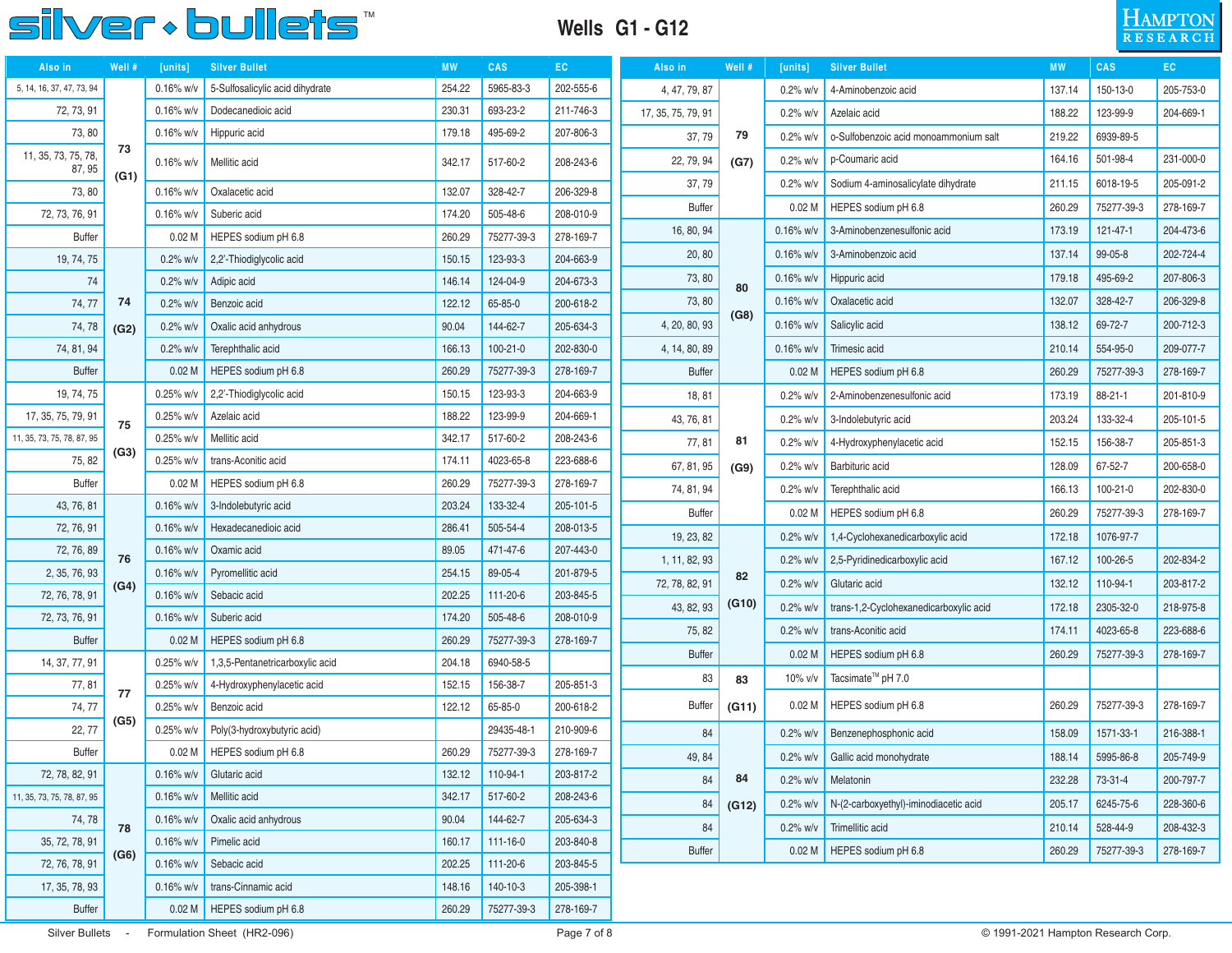#### **Wells G1 - G12**



| Also in                       | Well # | [units]           | <b>Silver Bullet</b>            | <b>MW</b> | <b>CAS</b> | EC.       | Also in            | Well # | [units]           | <b>Silver Bullet</b>                   | <b>MW</b> | <b>CAS</b> | EC.       |
|-------------------------------|--------|-------------------|---------------------------------|-----------|------------|-----------|--------------------|--------|-------------------|----------------------------------------|-----------|------------|-----------|
| 5, 14, 16, 37, 47, 73, 94     |        | $0.16\%$ w/v      | 5-Sulfosalicylic acid dihydrate | 254.22    | 5965-83-3  | 202-555-6 | 4, 47, 79, 87      |        | $0.2%$ w/v        | 4-Aminobenzoic acid                    | 137.14    | 150-13-0   | 205-753-0 |
| 72, 73, 91                    |        | $0.16%$ w/v       | Dodecanedioic acid              | 230.31    | 693-23-2   | 211-746-3 | 17, 35, 75, 79, 91 |        | $0.2%$ w/v        | Azelaic acid                           | 188.22    | 123-99-9   | 204-669-1 |
| 73, 80                        |        | $0.16\%$ w/v      | Hippuric acid                   | 179.18    | 495-69-2   | 207-806-3 | 37,79              | 79     | $0.2%$ w/v        | o-Sulfobenzoic acid monoammonium salt  | 219.22    | 6939-89-5  |           |
| 11, 35, 73, 75, 78,<br>87, 95 | 73     | $0.16\%$ w/v      | Mellitic acid                   | 342.17    | 517-60-2   | 208-243-6 | 22, 79, 94         | (G7)   | $0.2%$ w/v        | p-Coumaric acid                        | 164.16    | 501-98-4   | 231-000-0 |
| 73, 80                        | (G1)   | $0.16\%$ w/v      | Oxalacetic acid                 | 132.07    | 328-42-7   | 206-329-8 | 37,79              |        | $0.2%$ w/v        | Sodium 4-aminosalicylate dihydrate     | 211.15    | 6018-19-5  | 205-091-2 |
| 72, 73, 76, 91                |        | $0.16\%$ w/v      | Suberic acid                    | 174.20    | 505-48-6   | 208-010-9 | <b>Buffer</b>      |        | 0.02 <sub>M</sub> | HEPES sodium pH 6.8                    | 260.29    | 75277-39-3 | 278-169-7 |
| <b>Buffer</b>                 |        | 0.02 <sub>M</sub> | HEPES sodium pH 6.8             | 260.29    | 75277-39-3 | 278-169-7 | 16, 80, 94         |        | $0.16\%$ w/v      | 3-Aminobenzenesulfonic acid            | 173.19    | 121-47-1   | 204-473-6 |
| 19, 74, 75                    |        | $0.2%$ w/v        | 2,2'-Thiodiglycolic acid        | 150.15    | 123-93-3   | 204-663-9 | 20, 80             |        | $0.16\%$ w/v      | 3-Aminobenzoic acid                    | 137.14    | 99-05-8    | 202-724-4 |
| 74                            |        | $0.2\%$ w/v       | Adipic acid                     | 146.14    | 124-04-9   | 204-673-3 | 73, 80             | 80     | $0.16\%$ w/v      | Hippuric acid                          | 179.18    | 495-69-2   | 207-806-3 |
| 74, 77                        | 74     | $0.2\%$ w/v       | Benzoic acid                    | 122.12    | 65-85-0    | 200-618-2 | 73, 80             |        | $0.16\%$ w/v      | Oxalacetic acid                        | 132.07    | 328-42-7   | 206-329-8 |
| 74,78                         | (G2)   | $0.2%$ w/v        | Oxalic acid anhydrous           | 90.04     | 144-62-7   | 205-634-3 | 4, 20, 80, 93      | (G8)   | $0.16\%$ w/v      | Salicylic acid                         | 138.12    | 69-72-7    | 200-712-3 |
| 74, 81, 94                    |        | $0.2%$ w/v        | Terephthalic acid               | 166.13    | 100-21-0   | 202-830-0 | 4, 14, 80, 89      |        | $0.16\%$ w/v      | Trimesic acid                          | 210.14    | 554-95-0   | 209-077-7 |
| <b>Buffer</b>                 |        | 0.02 <sub>M</sub> | HEPES sodium pH 6.8             | 260.29    | 75277-39-3 | 278-169-7 | <b>Buffer</b>      |        | 0.02 <sub>M</sub> | HEPES sodium pH 6.8                    | 260.29    | 75277-39-3 | 278-169-7 |
| 19, 74, 75                    |        | 0.25% w/v         | 2,2'-Thiodiglycolic acid        | 150.15    | 123-93-3   | 204-663-9 | 18, 81             |        | $0.2%$ w/v        | 2-Aminobenzenesulfonic acid            | 173.19    | 88-21-1    | 201-810-9 |
| 17, 35, 75, 79, 91            | 75     | $0.25%$ w/v       | Azelaic acid                    | 188.22    | 123-99-9   | 204-669-1 | 43, 76, 81         |        | $0.2%$ w/v        | 3-Indolebutyric acid                   | 203.24    | 133-32-4   | 205-101-5 |
| 11, 35, 73, 75, 78, 87, 95    |        | $0.25\%$ w/v      | Mellitic acid                   | 342.17    | 517-60-2   | 208-243-6 | 77, 81             | 81     | $0.2%$ w/v        | 4-Hydroxyphenylacetic acid             | 152.15    | 156-38-7   | 205-851-3 |
| 75, 82                        | (G3)   | $0.25\%$ w/v      | trans-Aconitic acid             | 174.11    | 4023-65-8  | 223-688-6 | 67, 81, 95         | (G9)   | $0.2%$ w/v        | Barbituric acid                        | 128.09    | 67-52-7    | 200-658-0 |
| <b>Buffer</b>                 |        | 0.02 <sub>M</sub> | HEPES sodium pH 6.8             | 260.29    | 75277-39-3 | 278-169-7 | 74, 81, 94         |        | $0.2%$ w/v        | Terephthalic acid                      | 166.13    | 100-21-0   | 202-830-0 |
| 43, 76, 81                    |        | $0.16\%$ w/v      | 3-Indolebutyric acid            | 203.24    | 133-32-4   | 205-101-5 | <b>Buffer</b>      |        | 0.02 <sub>M</sub> | HEPES sodium pH 6.8                    | 260.29    | 75277-39-3 | 278-169-7 |
| 72, 76, 91                    |        | $0.16\%$ w/v      | Hexadecanedioic acid            | 286.41    | 505-54-4   | 208-013-5 | 19, 23, 82         |        | $0.2%$ w/v        | 1,4-Cyclohexanedicarboxylic acid       | 172.18    | 1076-97-7  |           |
| 72, 76, 89                    | 76     | $0.16\%$ w/v      | Oxamic acid                     | 89.05     | 471-47-6   | 207-443-0 | 1, 11, 82, 93      |        | $0.2%$ w/v        | 2,5-Pyridinedicarboxylic acid          | 167.12    | 100-26-5   | 202-834-2 |
| 2, 35, 76, 93                 | (G4)   | $0.16\%$ w/v      | Pyromellitic acid               | 254.15    | 89-05-4    | 201-879-5 | 72, 78, 82, 91     | 82     | $0.2\%$ w/v       | Glutaric acid                          | 132.12    | 110-94-1   | 203-817-2 |
| 72, 76, 78, 91                |        | $0.16\%$ w/v      | Sebacic acid                    | 202.25    | 111-20-6   | 203-845-5 | 43, 82, 93         | (G10)  | $0.2%$ w/v        | trans-1,2-Cyclohexanedicarboxylic acid | 172.18    | 2305-32-0  | 218-975-8 |
| 72, 73, 76, 91                |        | $0.16\%$ w/v      | Suberic acid                    | 174.20    | 505-48-6   | 208-010-9 | 75, 82             |        | $0.2%$ w/v        | trans-Aconitic acid                    | 174.11    | 4023-65-8  | 223-688-6 |
| <b>Buffer</b>                 |        | 0.02 <sub>M</sub> | HEPES sodium pH 6.8             | 260.29    | 75277-39-3 | 278-169-7 | <b>Buffer</b>      |        | 0.02 <sub>M</sub> | HEPES sodium pH 6.8                    | 260.29    | 75277-39-3 | 278-169-7 |
| 14, 37, 77, 91                |        | 0.25% w/v         | 1,3,5-Pentanetricarboxylic acid | 204.18    | 6940-58-5  |           | 83                 |        | 10% v/v           | Tacsimate <sup>™</sup> pH 7.0          |           |            |           |
| 77,81                         | 77     | $0.25%$ w/v       | 4-Hydroxyphenylacetic acid      | 152.15    | 156-38-7   | 205-851-3 |                    | 83     |                   |                                        |           |            |           |
| 74, 77                        | (G5)   | $0.25\%$ w/v      | Benzoic acid                    | 122.12    | 65-85-0    | 200-618-2 | <b>Buffer</b>      | (G11)  | 0.02 <sub>M</sub> | HEPES sodium pH 6.8                    | 260.29    | 75277-39-3 | 278-169-7 |
| 22, 77                        |        | 0.25% w/v         | Poly(3-hydroxybutyric acid)     |           | 29435-48-1 | 210-909-6 | 84                 |        | $0.2%$ w/v        | Benzenephosphonic acid                 | 158.09    | 1571-33-1  | 216-388-1 |
| <b>Buffer</b>                 |        |                   | 0.02 M   HEPES sodium pH 6.8    | 260.29    | 75277-39-3 | 278-169-7 | 49.84              |        | $0.2\%$ w/v       | Gallic acid monohydrate                | 188.14    | 5995-86-8  | 205-749-9 |
| 72, 78, 82, 91                |        | $0.16\%$ w/v      | Glutaric acid                   | 132.12    | 110-94-1   | 203-817-2 | 84                 | 84     | $0.2\%$ w/v       | Melatonin                              | 232.28    | 73-31-4    | 200-797-7 |
| 11, 35, 73, 75, 78, 87, 95    |        | $0.16\%$ w/v      | Mellitic acid                   | 342.17    | 517-60-2   | 208-243-6 | 84                 | (G12)  | $0.2\%$ w/v       | N-(2-carboxyethyl)-iminodiacetic acid  | 205.17    | 6245-75-6  | 228-360-6 |
| 74, 78                        | 78     | $0.16\%$ w/v      | Oxalic acid anhydrous           | 90.04     | 144-62-7   | 205-634-3 | 84                 |        | $0.2\%$ w/v       | Trimellitic acid                       | 210.14    | 528-44-9   | 208-432-3 |
| 35, 72, 78, 91                | (G6)   | $0.16\%$ w/v      | Pimelic acid                    | 160.17    | 111-16-0   | 203-840-8 | <b>Buffer</b>      |        | 0.02 <sub>M</sub> | HEPES sodium pH 6.8                    | 260.29    | 75277-39-3 | 278-169-7 |
| 72, 76, 78, 91                |        | $0.16\%$ w/v      | Sebacic acid                    | 202.25    | 111-20-6   | 203-845-5 |                    |        |                   |                                        |           |            |           |
| 17, 35, 78, 93                |        | $0.16\%$ w/v      | trans-Cinnamic acid             | 148.16    | 140-10-3   | 205-398-1 |                    |        |                   |                                        |           |            |           |
| <b>Buffer</b>                 |        |                   | 0.02 M   HEPES sodium pH 6.8    | 260.29    | 75277-39-3 | 278-169-7 |                    |        |                   |                                        |           |            |           |

Silver Bullets - Formulation Sheet (HR2-096) **Dage 7 of 8** Page 7 of 8 © 1991-2021 Hampton Research Corp.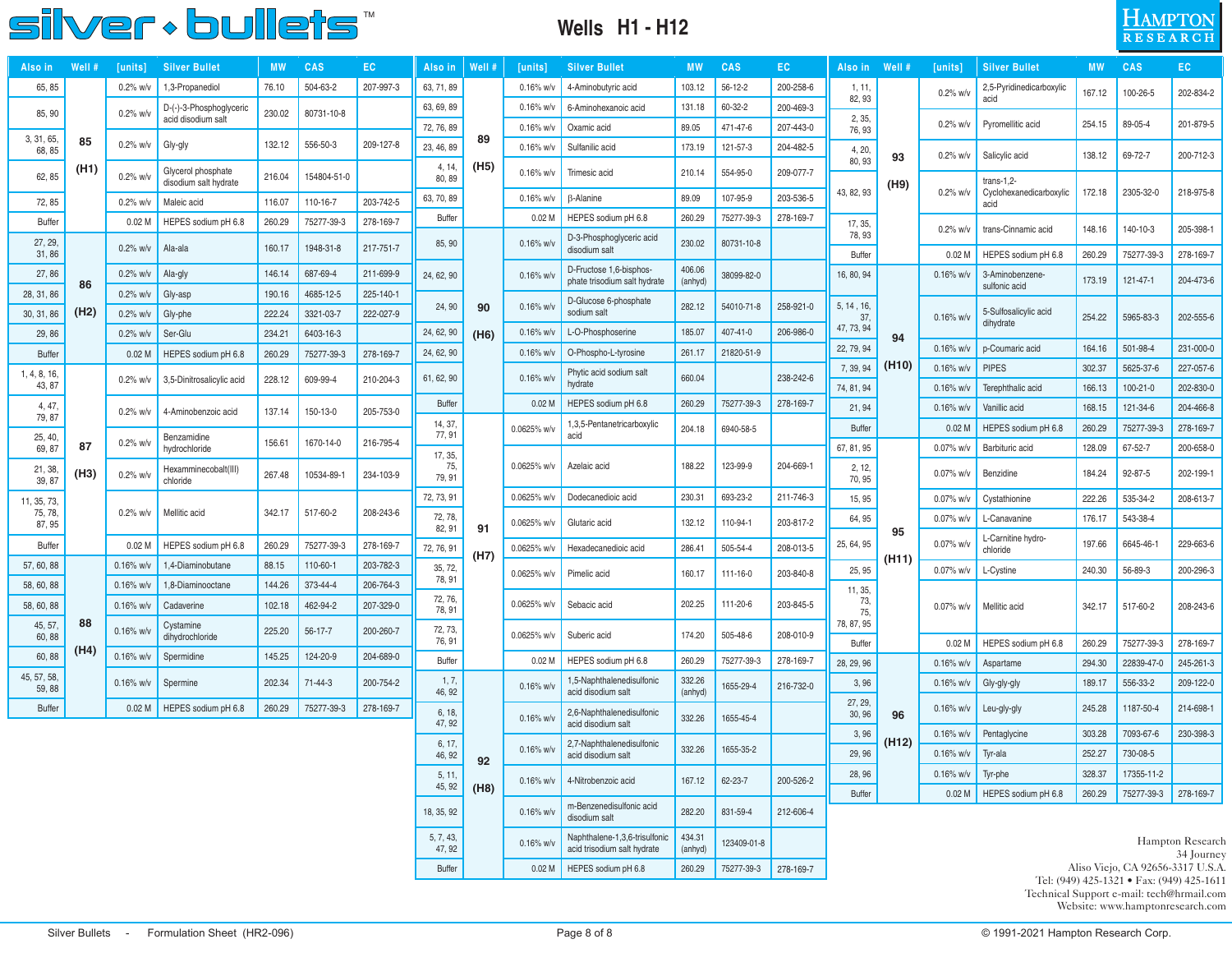#### **Wells H1 - H12**

## **HAMPTON**

| Also in                | <b>Well #</b> | $ $ units $ $     | <b>Silver Bullet</b>                          |        | <b>CAS</b>    | EС        | Also in               | Well # | units             | <b>Silver Bullet</b>                                         |                   | <b>CAS</b>    | EC        | Also in                     | Well #             | [units]                      | Silver Bu <u>llet</u>              | MW.              | CAS                               | EC                                        |
|------------------------|---------------|-------------------|-----------------------------------------------|--------|---------------|-----------|-----------------------|--------|-------------------|--------------------------------------------------------------|-------------------|---------------|-----------|-----------------------------|--------------------|------------------------------|------------------------------------|------------------|-----------------------------------|-------------------------------------------|
| 65, 85                 |               | $0.2\%$ w/v       | 1,3-Propanediol                               | 76.10  | 504-63-2      | 207-997-3 | 63, 71, 89            |        | 0.16% w/v         | 4-Aminobutyric acid                                          | 103.12            | $56 - 12 - 2$ | 200-258-6 | 1, 11,                      |                    | $0.2\%$ w/v                  | 2,5-Pyridinedicarboxylic           | 167.12           | 100-26-5                          | 202-834-2                                 |
| 85, 90                 |               | 0.2% w/v          | D-(-)-3-Phosphoglyceric<br>acid disodium salt | 230.02 | 80731-10-8    |           | 63, 69, 89            |        | $0.16\%$ w/v      | 6-Aminohexanoic acid                                         | 131.18            | 60-32-2       | 200-469-3 | 82, 93<br>2, 35,            |                    |                              | acid                               |                  |                                   |                                           |
| 3, 31, 65              |               |                   |                                               |        |               |           | 72, 76, 89            | 89     | 0.16% w/v         | Oxamic acid                                                  | 89.05             | 471-47-6      | 207-443-0 | 76, 93                      |                    | $0.2\%$ w/v                  | Pyromellitic acid                  | 254.15           | 89-05-4                           | 201-879-5                                 |
| 68, 85                 | 85            | $0.2\%$ w/v       | Gly-gly                                       | 132.12 | 556-50-3      | 209-127-8 | 23, 46, 89            |        | $0.16\%$ w/v      | Sulfanilic acid                                              | 173.19            | 121-57-3      | 204-482-5 | 4, 20,                      | 93                 | $0.2\%$ w/v                  | Salicylic acid                     | 138.12           | 69-72-7                           | 200-712-3                                 |
| 62, 85                 | (H1)          | $0.2\%$ w/v       | Glycerol phosphate<br>disodium salt hydrate   | 216.04 | 154804-51-0   |           | 4, 14<br>80, 89       | (H5)   | $0.16\%$ w/v      | Trimesic acid                                                | 210.14            | 554-95-0      | 209-077-7 | 80, 93                      |                    |                              | $trans-1,2-$                       |                  |                                   |                                           |
| 72, 85                 |               | $0.2%$ w/v        | Maleic acid                                   | 116.07 | 110-16-7      | 203-742-5 | 63, 70, 89            |        | 0.16% w/          | <b>B-Alanine</b>                                             | 89.09             | 107-95-9      | 203-536-5 | 43, 82, 93                  | (H9)               | $0.2%$ w/v                   | Cyclohexanedicarboxylic            | 172.18           | 2305-32-0                         | 218-975-8                                 |
| <b>Buffer</b>          |               | 0.02 <sub>M</sub> | HEPES sodium pH 6.8                           | 260.29 | 75277-39-3    | 278-169-7 | Buffer                |        | 0.02 <sub>M</sub> | HEPES sodium pH 6.8                                          | 260.29            | 75277-39-3    | 278-169-7 | 17, 35,                     |                    |                              | acid                               |                  |                                   |                                           |
| 27, 29,                |               |                   |                                               |        |               |           | 85, 90                |        | 0.16% w/          | D-3-Phosphoglyceric acid                                     | 230.02            | 80731-10-8    |           | 78, 93                      |                    | $0.2\%$ w/v                  | trans-Cinnamic acid                | 148.16           | 140-10-3                          | 205-398-1                                 |
| 31,86                  |               | $0.2%$ w/v        | Ala-ala                                       | 160.17 | 1948-31-8     | 217-751-7 |                       |        |                   | disodium salt                                                |                   |               |           | <b>Buffer</b>               |                    | 0.02 <sub>M</sub>            | HEPES sodium pH 6.8                | 260.29           | 75277-39-3                        | 278-169-7                                 |
| 27,86                  | 86            | $0.2%$ w/v        | Ala-gly                                       | 146.14 | 687-69-4      | 211-699-9 | 24, 62, 90            |        | $0.16\%$ w/       | D-Fructose 1,6-bisphos-<br>phate trisodium salt hydrate      | 406.06<br>(anhyd) | 38099-82-0    |           | 16, 80, 94                  |                    | $0.16\%$ w/v                 | 3-Aminobenzene-<br>sulfonic acid   | 173.19           | 121-47-1                          | 204-473-6                                 |
| 28, 31, 86             |               | $0.2\%$ w/v       | Gly-asp                                       | 190.16 | 4685-12-5     | 225-140-1 | 24, 90                | 90     | 0.16% w/v         | D-Glucose 6-phosphate                                        | 282.12            | 54010-71-8    | 258-921-0 | 5, 14, 16,                  |                    |                              |                                    |                  |                                   |                                           |
| 30, 31, 86             | (H2)          | $0.2%$ w/v        | Gly-phe                                       | 222.24 | 3321-03-7     | 222-027-9 |                       |        |                   | sodium salt                                                  |                   |               |           | 37<br>47, 73, 94            |                    | 0.16% w/v                    | 5-Sulfosalicylic acid<br>dihydrate | 254.22           | 5965-83-3                         | 202-555-6                                 |
| 29, 86                 |               | $0.2%$ w/v        | Ser-Glu                                       | 234.21 | 6403-16-3     |           | 24, 62, 90            | (H6)   | 0.16% w/v         | L-O-Phosphoserine                                            | 185.07            | 407-41-0      | 206-986-0 | 22, 79, 94                  | 94                 | $0.16\%$ w/v                 | p-Coumaric acid                    | 164.16           | 501-98-4                          | 231-000-0                                 |
| <b>Buffer</b>          |               | 0.02 <sub>M</sub> | HEPES sodium pH 6.8                           | 260.29 | 75277-39-3    | 278-169-7 | 24, 62, 90            |        | $0.16\%$ w/v      | O-Phospho-L-tyrosine                                         | 261.17            | 21820-51-9    |           | 7, 39, 94                   | (H <sub>10</sub> ) | 0.16% w/v                    | <b>PIPES</b>                       | 302.37           | 5625-37-6                         | 227-057-6                                 |
| l, 4, 8, 16,<br>43, 87 |               | $0.2\%$ w/v       | 3,5-Dinitrosalicylic acid                     | 228.12 | 609-99-4      | 210-204-3 | 61, 62, 90            |        | $0.16\%$ w/       | Phytic acid sodium salt<br>hydrate                           | 660.04            |               | 238-242-6 | 74, 81, 94                  |                    | $0.16\%$ w/v                 | Terephthalic acid                  | 166.13           | 100-21-0                          | 202-830-0                                 |
| 4, 47,                 |               | 0.2% w/v          | 4-Aminobenzoic acid                           | 137.14 | 150-13-0      | 205-753-0 | <b>Buffer</b>         |        | 0.02 <sub>0</sub> | HEPES sodium pH 6.8                                          | 260.29            | 75277-39-3    | 278-169-7 | 21, 94                      |                    | 0.16% w/v                    | Vanillic acid                      | 168.15           | 121-34-6                          | 204-466-8                                 |
| 79, 87                 |               |                   |                                               |        |               |           | 14, 37,               |        | 0.0625% w/v       | 1,3,5-Pentanetricarboxylic                                   | 204.18            | 6940-58-5     |           | <b>Buffer</b>               |                    | 0.02 <sub>M</sub>            | HEPES sodium pH 6.8                | 260.29           | 75277-39-3                        | 278-169-7                                 |
| 25, 40,<br>69, 87      | 87            | $0.2\%$ w/v       | Benzamidine<br>hydrochloride                  | 156.61 | 1670-14-0     | 216-795-4 | 77, 91                |        |                   | acid                                                         |                   |               |           | 67, 81, 95                  |                    | 0.07% w/v                    | Barbituric acid                    | 128.09           | 67-52-7                           | 200-658-0                                 |
| 21, 38,                | (H3)          | 0.2% w/v          | Hexamminecobalt(III)                          | 267.48 | 10534-89-1    | 234-103-9 | 17, 35,<br>75,        |        | 0.0625% w/v       | Azelaic acid                                                 | 188.22            | 123-99-9      | 204-669-1 | 2, 12,                      |                    | 0.07% w/v                    | Benzidine                          | 184.24           | 92-87-5                           | 202-199-1                                 |
| 39, 87                 |               |                   | chloride                                      |        |               |           | 79, 91                |        | 0.0625% w/        | Dodecanedioic acid                                           | 230.31            | 693-23-2      | 211-746-3 | 70, 95                      |                    |                              |                                    |                  |                                   |                                           |
| 11, 35, 73,<br>75, 78, |               | $0.2\%$ w/v       | Mellitic acid                                 | 342.17 | 517-60-2      | 208-243-6 | 72, 73, 91<br>72, 78, |        |                   |                                                              |                   |               |           | 15, 95                      |                    | 0.07% w/v                    | Cystathionine                      | 222.26           | 535-34-2                          | 208-613-7                                 |
| 87, 95                 |               |                   |                                               |        |               |           | 82, 91                | 91     | 0.0625% w/v       | Glutaric acid                                                | 132.12            | 110-94-1      | 203-817-2 | 64, 95                      | 95                 | 0.07% w/v                    | L-Canavanine<br>L-Carnitine hydro- | 176.17           | 543-38-4                          |                                           |
| <b>Buffer</b>          |               | 0.02 <sub>M</sub> | HEPES sodium pH 6.8                           | 260.29 | 75277-39-3    | 278-169-7 | 72, 76, 91            | (H7)   | 0.0625% w/v       | Hexadecanedioic acid                                         | 286.41            | 505-54-4      | 208-013-5 | 25, 64, 95                  | (H11)              | 0.07% w/v                    | chloride                           | 197.66           | 6645-46-1                         | 229-663-6                                 |
| 57, 60, 88             |               | $0.16\%$ w/v      | 1,4-Diaminobutane                             | 88.15  | 110-60-1      | 203-782-3 | 35, 72,<br>78, 91     |        | 0.0625% w/v       | Pimelic acid                                                 | 160.17            | 111-16-0      | 203-840-8 | 25, 95                      |                    | 0.07% w/v                    | L-Cystine                          | 240.30           | 56-89-3                           | 200-296-3                                 |
| 58, 60, 88             |               | $0.16\%$ w/v      | 1,8-Diaminooctane                             | 144.26 | 373-44-4      | 206-764-3 | 72, 76,               |        |                   |                                                              |                   |               |           | 11, 35,                     |                    |                              |                                    |                  |                                   |                                           |
| 58, 60, 88             |               | $0.16\%$ w/v      | Cadaverine                                    | 102.18 | 462-94-2      | 207-329-0 | 78, 91                |        | 0.0625% w/v       | Sebacic acid                                                 | 202.25            | 111-20-6      | 203-845-5 | 73,<br>75,                  |                    | 0.07% w/v                    | Mellitic acid                      | 342.17           | 517-60-2                          | 208-243-6                                 |
| 45, 57<br>60, 88       | 88            | 0.16% w/v         | Cystamine<br>dihydrochloride                  | 225.20 | 56-17-7       | 200-260-7 | 72, 73,<br>76, 91     |        | 0.0625% w/v       | Suberic acid                                                 | 174.20            | 505-48-6      | 208-010-9 | 78, 87, 95<br><b>Buffer</b> |                    | 0.02 <sub>M</sub>            | HEPES sodium pH 6.8                | 260.29           | 75277-39-3                        | 278-169-7                                 |
| 60, 88                 | (H4)          | $0.16\%$ w/v      | Spermidine                                    | 145.25 | 124-20-9      | 204-689-0 | <b>Buffer</b>         |        | 0.02 <sub>M</sub> | HEPES sodium pH 6.8                                          | 260.29            | 75277-39-3    | 278-169-7 | 28, 29, 96                  |                    | $0.16\%$ w/v                 | Aspartame                          | 294.30           | 22839-47-0                        | 245-261-3                                 |
| 45, 57, 58,<br>59,88   |               | $0.16\%$ w/v      | Spermine                                      | 202.34 | $71 - 44 - 3$ | 200-754-2 | 1, 7,                 |        | $0.16\%$ w/       | 1,5-Naphthalenedisulfonic                                    | 332.26            | 1655-29-4     | 216-732-0 | 3,96                        |                    | $0.16\%$ w/v                 | Gly-gly-gly                        | 189.17           | 556-33-2                          | 209-122-0                                 |
| <b>Buffer</b>          |               | 0.02 <sub>M</sub> | HEPES sodium pH 6.8                           | 260.29 | 75277-39-3    | 278-169-7 | 46, 92                |        |                   | acid disodium salt                                           | (anhyd)           |               |           | 27, 29,                     |                    | $0.16\%$ w/v                 | Leu-gly-gly                        | 245.28           | 1187-50-4                         | 214-698-1                                 |
|                        |               |                   |                                               |        |               |           | 6, 18,<br>47, 92      |        | $0.16\%$ w/       | 2,6-Naphthalenedisulfonic<br>acid disodium salt              | 332.26            | 1655-45-4     |           | 30, 96                      | 96                 |                              |                                    |                  |                                   |                                           |
|                        |               |                   |                                               |        |               |           | 6, 17,<br>46, 92      |        | $0.16\%$ w/v      | 2,7-Naphthalenedisulfonic                                    | 332.26            | 1655-35-2     |           | 3,96<br>29, 96              | (H12)              | $0.16\%$ w/v<br>$0.16\%$ w/v | Pentaglycine<br>Tyr-ala            | 303.28<br>252.27 | 7093-67-6<br>730-08-5             | 230-398-3                                 |
|                        |               |                   |                                               |        |               |           | 5, 11,                | 92     |                   | acid disodium salt                                           |                   |               |           | 28, 96                      |                    | $0.16\%$ w/v                 | Tyr-phe                            | 328.37           | 17355-11-2                        |                                           |
|                        |               |                   |                                               |        |               |           | 45, 92                | (H8)   | $0.16\%$ w/v      | 4-Nitrobenzoic acid                                          | 167.12            | 62-23-7       | 200-526-2 | Buffer                      |                    | 0.02 <sub>M</sub>            | HEPES sodium pH 6.8                | 260.29           | 75277-39-3                        | 278-169-7                                 |
|                        |               |                   |                                               |        |               |           | 18, 35, 92            |        | 0.16% w/v         | m-Benzenedisulfonic acid<br>disodium salt                    | 282.20            | 831-59-4      | 212-606-4 |                             |                    |                              |                                    |                  |                                   |                                           |
|                        |               |                   |                                               |        |               |           | 5, 7, 43,<br>47, 92   |        | $0.16\%$ w/v      | Naphthalene-1,3,6-trisulfonic<br>acid trisodium salt hydrate | 434.31<br>(anhyd) | 123409-01-8   |           |                             |                    |                              |                                    |                  |                                   | Hampton Research<br>34 Journey            |
|                        |               |                   |                                               |        |               |           | Buffer                |        |                   | 0.02 M   HEPES sodium pH 6.8                                 | 260.29            | 75277-39-3    | 278-169-7 |                             |                    |                              |                                    |                  | Aliso Viejo, CA 92656-3317 U.S.A. | Tel: (949) 425-1321 • Fax: (949) 425-1611 |

Technical Support e-mail: tech@hrmail.com Website: www.hamptonresearch.com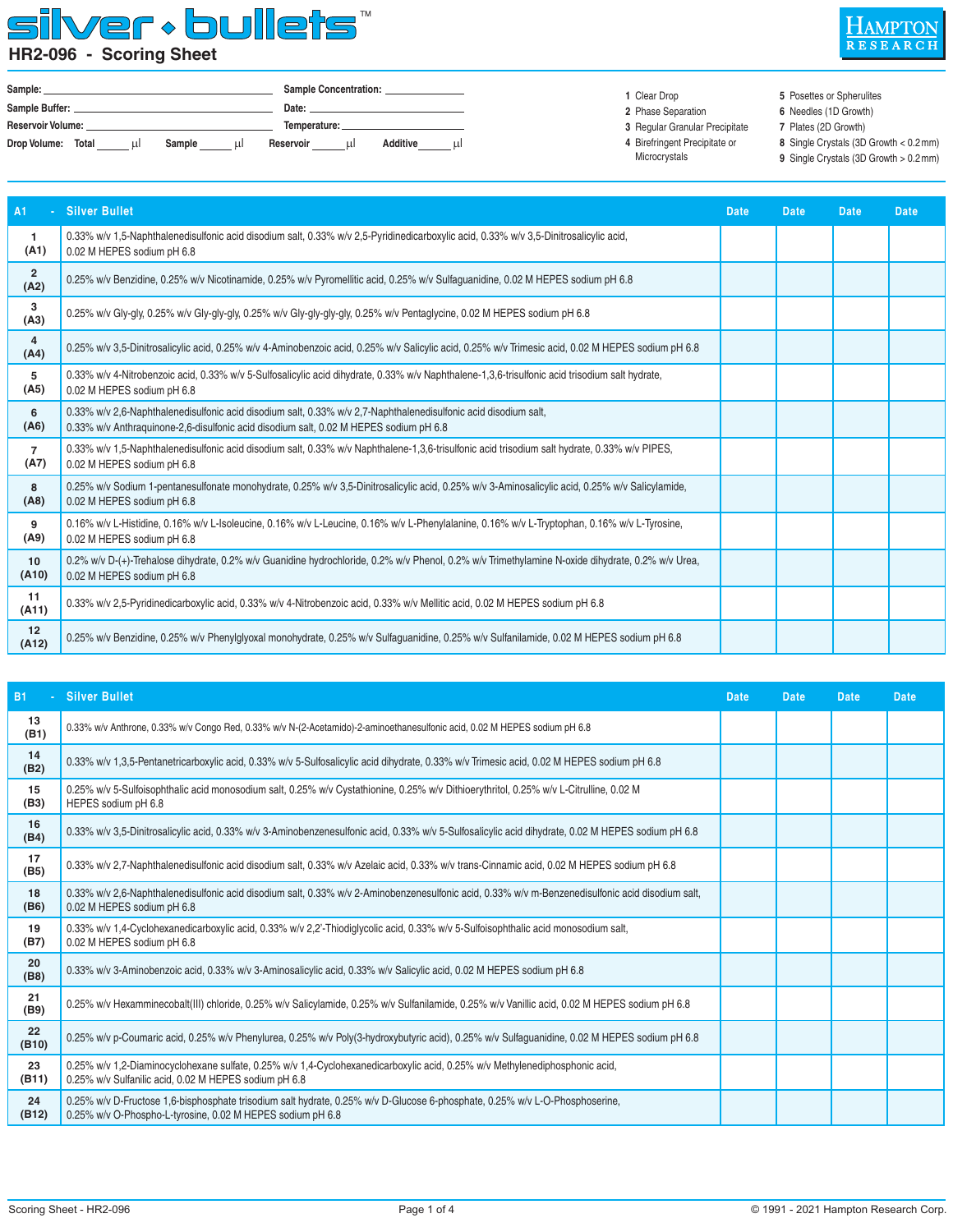#### lver + bullets" S **HR2-096 - Scoring Sheet**



| Sample:            |   |        |    |                 | <b>Sample Concentration:</b> |          |    |
|--------------------|---|--------|----|-----------------|------------------------------|----------|----|
| Sample Buffer:     |   |        |    | Date:           |                              |          |    |
| Reservoir Volume:  |   |        |    | Temperature: __ |                              |          |    |
| Drop Volume: Total | ш | Sample | шI | Reservoir       | ш                            | Additive | шI |

 **1** Clear Drop

- 
- **2** Phase Separation  **3** Regular Granular Precipitate **6** Needles (1D Growth) **7** Plates (2D Growth)
- **4** Birefringent Precipitate or
- Microcrystals

**8** Single Crystals (3D Growth < 0.2 mm)

**5** Posettes or Spherulites

**9** Single Crystals (3D Growth > 0.2 mm)

| A1<br>ä,               | <b>Silver Bullet</b>                                                                                                                                                                                     | <b>Date</b> | <b>Date</b> | <b>Date</b> | Date. |
|------------------------|----------------------------------------------------------------------------------------------------------------------------------------------------------------------------------------------------------|-------------|-------------|-------------|-------|
| $\mathbf{1}$<br>(A1)   | 0.33% w/v 1,5-Naphthalenedisulfonic acid disodium salt, 0.33% w/v 2,5-Pyridinedicarboxylic acid, 0.33% w/v 3,5-Dinitrosalicylic acid,<br>0.02 M HEPES sodium pH 6.8                                      |             |             |             |       |
| $\overline{2}$<br>(A2) | 0.25% w/v Benzidine, 0.25% w/v Nicotinamide, 0.25% w/v Pyromellitic acid, 0.25% w/v Sulfaguanidine, 0.02 M HEPES sodium pH 6.8                                                                           |             |             |             |       |
| 3<br>(A3)              | 0.25% w/v Gly-gly, 0.25% w/v Gly-gly-gly, 0.25% w/v Gly-gly-gly-gly, 0.25% w/v Pentaglycine, 0.02 M HEPES sodium pH 6.8                                                                                  |             |             |             |       |
| 4<br>(A4)              | 0.25% w/v 3,5-Dinitrosalicylic acid, 0.25% w/v 4-Aminobenzoic acid, 0.25% w/v Salicylic acid, 0.25% w/v Trimesic acid, 0.02 M HEPES sodium pH 6.8                                                        |             |             |             |       |
| 5<br>(A5)              | 0.33% w/v 4-Nitrobenzoic acid, 0.33% w/v 5-Sulfosalicylic acid dihydrate, 0.33% w/v Naphthalene-1,3,6-trisulfonic acid trisodium salt hydrate,<br>0.02 M HEPES sodium pH 6.8                             |             |             |             |       |
| 6<br>(A6)              | 0.33% w/v 2,6-Naphthalenedisulfonic acid disodium salt, 0.33% w/v 2,7-Naphthalenedisulfonic acid disodium salt,<br>0.33% w/v Anthraguinone-2,6-disulfonic acid disodium salt, 0.02 M HEPES sodium pH 6.8 |             |             |             |       |
| $\overline{7}$<br>(A7) | 0.33% w/v 1,5-Naphthalenedisulfonic acid disodium salt, 0.33% w/v Naphthalene-1,3,6-trisulfonic acid trisodium salt hydrate, 0.33% w/v PIPES,<br>0.02 M HEPES sodium pH 6.8                              |             |             |             |       |
| 8<br>(A8)              | 0.25% w/v Sodium 1-pentanesulfonate monohydrate, 0.25% w/v 3,5-Dinitrosalicylic acid, 0.25% w/v 3-Aminosalicylic acid, 0.25% w/v Salicylamide,<br>0.02 M HEPES sodium pH 6.8                             |             |             |             |       |
| 9<br>(A9)              | 0.16% w/v L-Histidine, 0.16% w/v L-Isoleucine, 0.16% w/v L-Leucine, 0.16% w/v L-Phenylalanine, 0.16% w/v L-Tryptophan, 0.16% w/v L-Tyrosine,<br>0.02 M HEPES sodium pH 6.8                               |             |             |             |       |
| 10<br>(A10)            | 0.2% w/v D-(+)-Trehalose dihydrate, 0.2% w/v Guanidine hydrochloride, 0.2% w/v Phenol, 0.2% w/v Trimethylamine N-oxide dihydrate, 0.2% w/v Urea,<br>0.02 M HEPES sodium pH 6.8                           |             |             |             |       |
| 11<br>(A11)            | 0.33% w/v 2.5-Pyridinedicarboxylic acid, 0.33% w/v 4-Nitrobenzoic acid, 0.33% w/v Mellitic acid, 0.02 M HEPES sodium pH 6.8                                                                              |             |             |             |       |
| 12<br>(A12)            | 0.25% w/v Benzidine, 0.25% w/v Phenylglyoxal monohydrate, 0.25% w/v Sulfaquanidine, 0.25% w/v Sulfanilamide, 0.02 M HEPES sodium pH 6.8                                                                  |             |             |             |       |

| <b>B1</b>   | - Silver Bullet                                                                                                                                                                           | <b>Date</b> | <b>Date</b> | Date | <b>Date</b> |
|-------------|-------------------------------------------------------------------------------------------------------------------------------------------------------------------------------------------|-------------|-------------|------|-------------|
| 13<br>(B1)  | 0.33% w/v Anthrone, 0.33% w/v Congo Red, 0.33% w/v N-(2-Acetamido)-2-aminoethanesulfonic acid, 0.02 M HEPES sodium pH 6.8                                                                 |             |             |      |             |
| 14<br>(B2)  | 0.33% w/v 1,3,5-Pentanetricarboxylic acid, 0.33% w/v 5-Sulfosalicylic acid dihydrate, 0.33% w/v Trimesic acid, 0.02 M HEPES sodium pH 6.8                                                 |             |             |      |             |
| 15<br>(B3)  | 0.25% w/v 5-Sulfoisophthalic acid monosodium salt, 0.25% w/v Cystathionine, 0.25% w/v Dithioerythritol, 0.25% w/v L-Citrulline, 0.02 M<br>HEPES sodium pH 6.8                             |             |             |      |             |
| 16<br>(B4)  | 0.33% w/v 3.5-Dinitrosalicylic acid, 0.33% w/v 3-Aminobenzenesulfonic acid, 0.33% w/v 5-Sulfosalicylic acid dihydrate, 0.02 M HEPES sodium pH 6.8                                         |             |             |      |             |
| 17<br>(B5)  | 0.33% w/v 2.7-Naphthalenedisulfonic acid disodium salt, 0.33% w/v Azelaic acid, 0.33% w/v trans-Cinnamic acid, 0.02 M HEPES sodium pH 6.8                                                 |             |             |      |             |
| 18<br>(B6)  | 0.33% w/v 2.6-Naphthalenedisulfonic acid disodium salt, 0.33% w/v 2-Aminobenzenesulfonic acid, 0.33% w/v m-Benzenedisulfonic acid disodium salt,<br>0.02 M HEPES sodium pH 6.8            |             |             |      |             |
| 19<br>(B7)  | 0.33% w/v 1.4-Cyclohexanedicarboxylic acid, 0.33% w/v 2.2'-Thiodiglycolic acid, 0.33% w/v 5-Sulfoisophthalic acid monosodium salt,<br>0.02 M HEPES sodium pH 6.8                          |             |             |      |             |
| 20<br>(B8)  | 0.33% w/v 3-Aminobenzoic acid, 0.33% w/v 3-Aminosalicylic acid, 0.33% w/v Salicylic acid, 0.02 M HEPES sodium pH 6.8                                                                      |             |             |      |             |
| 21<br>(B9)  | 0.25% w/v Hexamminecobalt(III) chloride, 0.25% w/v Salicylamide, 0.25% w/v Sulfanilamide, 0.25% w/v Vanillic acid, 0.02 M HEPES sodium pH 6.8                                             |             |             |      |             |
| 22<br>(B10) | 0.25% w/v p-Coumaric acid, 0.25% w/v Phenylurea, 0.25% w/v Poly(3-hydroxybutyric acid), 0.25% w/v Sulfaguanidine, 0.02 M HEPES sodium pH 6.8                                              |             |             |      |             |
| 23<br>(B11) | 0.25% w/v 1,2-Diaminocyclohexane sulfate, 0.25% w/v 1,4-Cyclohexanedicarboxylic acid, 0.25% w/v Methylenediphosphonic acid,<br>0.25% w/v Sulfanilic acid, 0.02 M HEPES sodium pH 6.8      |             |             |      |             |
| 24<br>(B12) | 0.25% w/v D-Fructose 1.6-bisphosphate trisodium salt hydrate, 0.25% w/v D-Glucose 6-phosphate, 0.25% w/v L-O-Phosphoserine,<br>0.25% w/v O-Phospho-L-tyrosine, 0.02 M HEPES sodium pH 6.8 |             |             |      |             |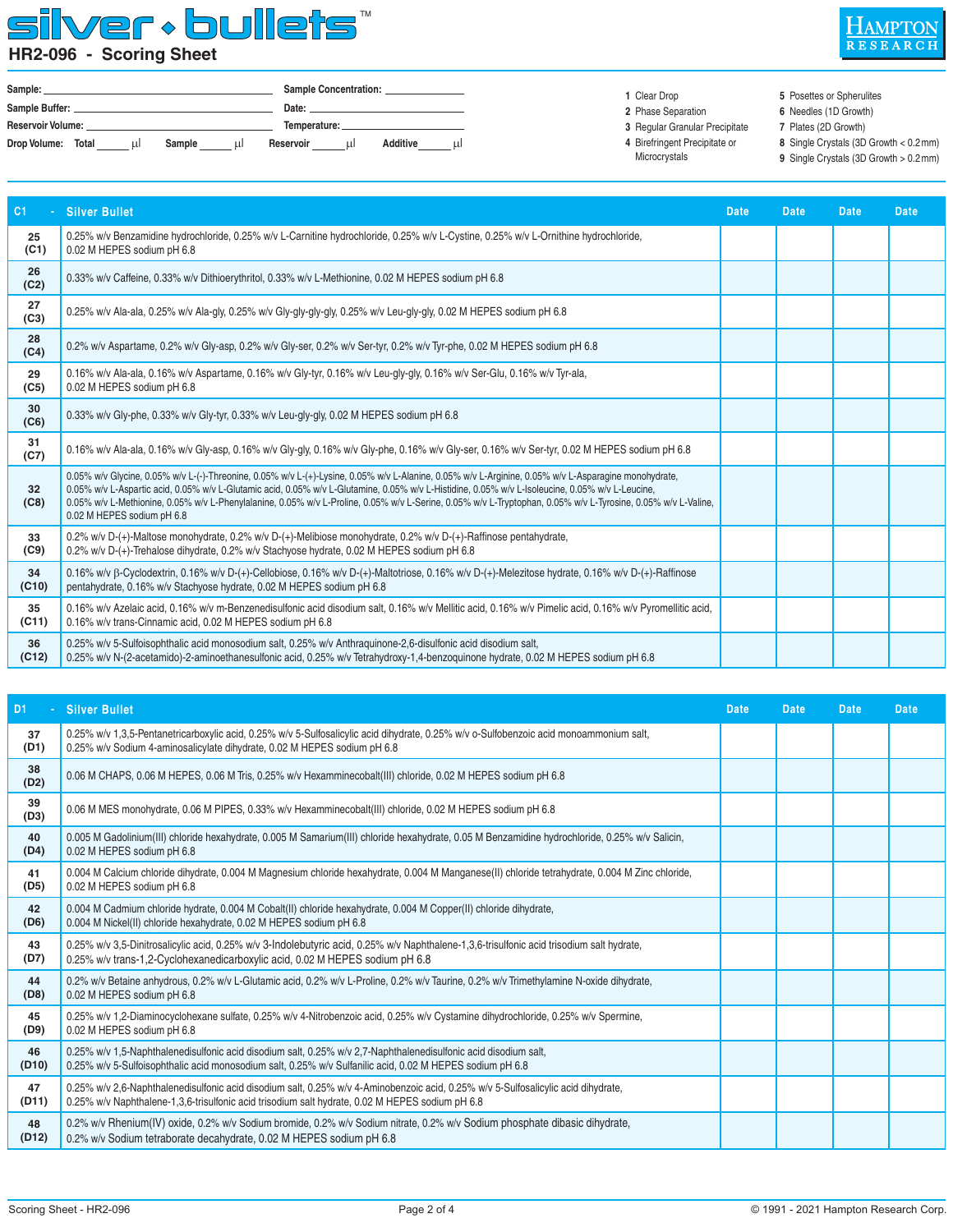### silver bullets™ **HR2-096 - Scoring Sheet**



| Sample:                  |            |        |   |           | <b>Sample Concentration:</b> |          |    |  |  |
|--------------------------|------------|--------|---|-----------|------------------------------|----------|----|--|--|
| Sample Buffer:           |            |        |   | Date:     |                              |          |    |  |  |
| <b>Reservoir Volume:</b> |            |        |   |           |                              |          |    |  |  |
| Drop Volume:             | Total<br>ш | Sample | ш | Reservoir | ul                           | Additive | шI |  |  |

#### **1** Clear Drop

- **2** Phase Separation
- **3** Regular Granular Precipitate
- **4** Birefringent Precipitate or
- Microcrystals

**7** Plates (2D Growth) **8** Single Crystals (3D Growth < 0.2 mm)

**5** Posettes or Spherulites **6** Needles (1D Growth)

**9** Single Crystals (3D Growth > 0.2 mm)

| C <sub>1</sub>          | <b>Silver Bullet</b>                                                                                                                                                                                                                                                                                                                                                                                                                                                                                    | <b>Date</b> | <b>Date</b> | <b>Date</b> | <b>Date</b> |
|-------------------------|---------------------------------------------------------------------------------------------------------------------------------------------------------------------------------------------------------------------------------------------------------------------------------------------------------------------------------------------------------------------------------------------------------------------------------------------------------------------------------------------------------|-------------|-------------|-------------|-------------|
| 25<br>(C1)              | 0.25% w/v Benzamidine hydrochloride, 0.25% w/v L-Carnitine hydrochloride, 0.25% w/v L-Cystine, 0.25% w/v L-Ornithine hydrochloride,<br>0.02 M HEPES sodium pH 6.8                                                                                                                                                                                                                                                                                                                                       |             |             |             |             |
| 26<br>(C2)              | 0.33% w/v Caffeine, 0.33% w/v Dithioerythritol, 0.33% w/v L-Methionine, 0.02 M HEPES sodium pH 6.8                                                                                                                                                                                                                                                                                                                                                                                                      |             |             |             |             |
| 27<br>(C3)              | 0.25% w/v Ala-ala, 0.25% w/v Ala-gly, 0.25% w/v Gly-gly-gly-gly, 0.25% w/v Leu-gly-gly, 0.02 M HEPES sodium pH 6.8                                                                                                                                                                                                                                                                                                                                                                                      |             |             |             |             |
| 28<br>(C4)              | 0.2% w/v Aspartame, 0.2% w/v Gly-asp, 0.2% w/v Gly-ser, 0.2% w/v Ser-tyr, 0.2% w/v Tyr-phe, 0.02 M HEPES sodium pH 6.8                                                                                                                                                                                                                                                                                                                                                                                  |             |             |             |             |
| 29<br>(C5)              | 0.16% w/v Ala-ala, 0.16% w/v Aspartame, 0.16% w/v Gly-tyr, 0.16% w/v Leu-gly-gly, 0.16% w/v Ser-Glu, 0.16% w/v Tyr-ala,<br>0.02 M HEPES sodium pH 6.8                                                                                                                                                                                                                                                                                                                                                   |             |             |             |             |
| 30<br>(C6)              | 0.33% w/v Gly-phe, 0.33% w/v Gly-tyr, 0.33% w/v Leu-gly-gly, 0.02 M HEPES sodium pH 6.8                                                                                                                                                                                                                                                                                                                                                                                                                 |             |             |             |             |
| 31<br>(C7)              | 0.16% w/v Ala-ala, 0.16% w/v Gly-asp, 0.16% w/v Gly-gly, 0.16% w/v Gly-phe, 0.16% w/v Gly-ser, 0.16% w/v Ser-tyr, 0.02 M HEPES sodium pH 6.8                                                                                                                                                                                                                                                                                                                                                            |             |             |             |             |
| 32 <sub>2</sub><br>(C8) | 0.05% w/v Glycine, 0.05% w/v L-(-)-Threonine, 0.05% w/v L-(+)-Lysine, 0.05% w/v L-Alanine, 0.05% w/v L-Arginine, 0.05% w/v L-Asparagine monohydrate,<br>0.05% w/v L-Aspartic acid, 0.05% w/v L-Glutamic acid, 0.05% w/v L-Glutamine, 0.05% w/v L-Histidine, 0.05% w/v L-Isoleucine, 0.05% w/v L-Leucine,<br>0.05% w/v L-Methionine, 0.05% w/v L-Phenylalanine, 0.05% w/v L-Proline, 0.05% w/v L-Serine, 0.05% w/v L-Tryptophan, 0.05% w/v L-Tyrosine, 0.05% w/v L-Valine,<br>0.02 M HEPES sodium pH 6.8 |             |             |             |             |
| 33<br>(C9)              | 0.2% w/v D-(+)-Maltose monohydrate, 0.2% w/v D-(+)-Melibiose monohydrate, 0.2% w/v D-(+)-Raffinose pentahydrate,<br>0.2% w/v D-(+)-Trehalose dihydrate, 0.2% w/v Stachyose hydrate, 0.02 M HEPES sodium pH 6.8                                                                                                                                                                                                                                                                                          |             |             |             |             |
| 34<br>(C10)             | 0.16% w/v B-Cyclodextrin, 0.16% w/v D-(+)-Cellobiose, 0.16% w/v D-(+)-Maltotriose, 0.16% w/v D-(+)-Melezitose hydrate, 0.16% w/v D-(+)-Raffinose<br>pentahydrate, 0.16% w/v Stachyose hydrate, 0.02 M HEPES sodium pH 6.8                                                                                                                                                                                                                                                                               |             |             |             |             |
| 35<br>(C11)             | 0.16% w/v Azelaic acid, 0.16% w/v m-Benzenedisulfonic acid disodium salt, 0.16% w/v Mellitic acid, 0.16% w/v Pimelic acid, 0.16% w/v Pyromellitic acid,<br>0.16% w/v trans-Cinnamic acid, 0.02 M HEPES sodium pH 6.8                                                                                                                                                                                                                                                                                    |             |             |             |             |
| 36<br>(C12)             | 0.25% w/v 5-Sulfoisophthalic acid monosodium salt, 0.25% w/v Anthraquinone-2,6-disulfonic acid disodium salt,<br>0.25% w/v N-(2-acetamido)-2-aminoethanesulfonic acid, 0.25% w/v Tetrahydroxy-1,4-benzoquinone hydrate, 0.02 M HEPES sodium pH 6.8                                                                                                                                                                                                                                                      |             |             |             |             |

| D <sub>1</sub> | - Silver Bullet                                                                                                                                                                                                                      | <b>Date</b> | <b>Date</b> | <b>Date</b> | <b>Date</b> |
|----------------|--------------------------------------------------------------------------------------------------------------------------------------------------------------------------------------------------------------------------------------|-------------|-------------|-------------|-------------|
| 37<br>(D1)     | 0.25% w/v 1,3,5-Pentanetricarboxylic acid, 0.25% w/v 5-Sulfosalicylic acid dihydrate, 0.25% w/v o-Sulfobenzoic acid monoammonium salt,<br>0.25% w/v Sodium 4-aminosalicylate dihydrate, 0.02 M HEPES sodium pH 6.8                   |             |             |             |             |
| 38<br>(D2)     | 0.06 M CHAPS, 0.06 M HEPES, 0.06 M Tris, 0.25% w/v Hexamminecobalt(III) chloride, 0.02 M HEPES sodium pH 6.8                                                                                                                         |             |             |             |             |
| 39<br>(D3)     | 0.06 M MES monohydrate, 0.06 M PIPES, 0.33% w/v Hexamminecobalt(III) chloride, 0.02 M HEPES sodium pH 6.8                                                                                                                            |             |             |             |             |
| 40<br>(D4)     | 0.005 M Gadolinium(III) chloride hexahydrate, 0.005 M Samarium(III) chloride hexahydrate, 0.05 M Benzamidine hydrochloride, 0.25% w/v Salicin,<br>0.02 M HEPES sodium pH 6.8                                                         |             |             |             |             |
| 41<br>(D5)     | 0.004 M Calcium chloride dihydrate, 0.004 M Magnesium chloride hexahydrate, 0.004 M Manganese(II) chloride tetrahydrate, 0.004 M Zinc chloride,<br>0.02 M HEPES sodium pH 6.8                                                        |             |             |             |             |
| 42<br>(D6)     | 0.004 M Cadmium chloride hydrate, 0.004 M Cobalt(II) chloride hexahydrate, 0.004 M Copper(II) chloride dihydrate,<br>0.004 M Nickel(II) chloride hexahydrate, 0.02 M HEPES sodium pH 6.8                                             |             |             |             |             |
| 43<br>(D7)     | 0.25% w/v 3,5-Dinitrosalicylic acid, 0.25% w/v 3-Indolebutyric acid, 0.25% w/v Naphthalene-1,3,6-trisulfonic acid trisodium salt hydrate,<br>0.25% w/v trans-1,2-Cyclohexanedicarboxylic acid, 0.02 M HEPES sodium pH 6.8            |             |             |             |             |
| 44<br>(D8)     | 0.2% w/v Betaine anhydrous, 0.2% w/v L-Glutamic acid, 0.2% w/v L-Proline, 0.2% w/v Taurine, 0.2% w/v Trimethylamine N-oxide dihydrate,<br>0.02 M HEPES sodium pH 6.8                                                                 |             |             |             |             |
| 45<br>(D9)     | 0.25% w/v 1,2-Diaminocyclohexane sulfate, 0.25% w/v 4-Nitrobenzoic acid, 0.25% w/v Cystamine dihydrochloride, 0.25% w/v Spermine,<br>0.02 M HEPES sodium pH 6.8                                                                      |             |             |             |             |
| 46<br>(D10)    | 0.25% w/v 1,5-Naphthalenedisulfonic acid disodium salt, 0.25% w/v 2,7-Naphthalenedisulfonic acid disodium salt,<br>0.25% w/v 5-Sulfoisophthalic acid monosodium salt, 0.25% w/v Sulfanilic acid, 0.02 M HEPES sodium pH 6.8          |             |             |             |             |
| 47<br>(D11)    | 0.25% w/v 2.6-Naphthalenedisulfonic acid disodium salt, 0.25% w/v 4-Aminobenzoic acid, 0.25% w/v 5-Sulfosalicylic acid dihydrate,<br>0.25% w/v Naphthalene-1,3,6-trisulfonic acid trisodium salt hydrate, 0.02 M HEPES sodium pH 6.8 |             |             |             |             |
| 48<br>(D12)    | 0.2% w/v Rhenium(IV) oxide, 0.2% w/v Sodium bromide, 0.2% w/v Sodium nitrate, 0.2% w/v Sodium phosphate dibasic dihydrate,<br>0.2% w/v Sodium tetraborate decahydrate, 0.02 M HEPES sodium pH 6.8                                    |             |             |             |             |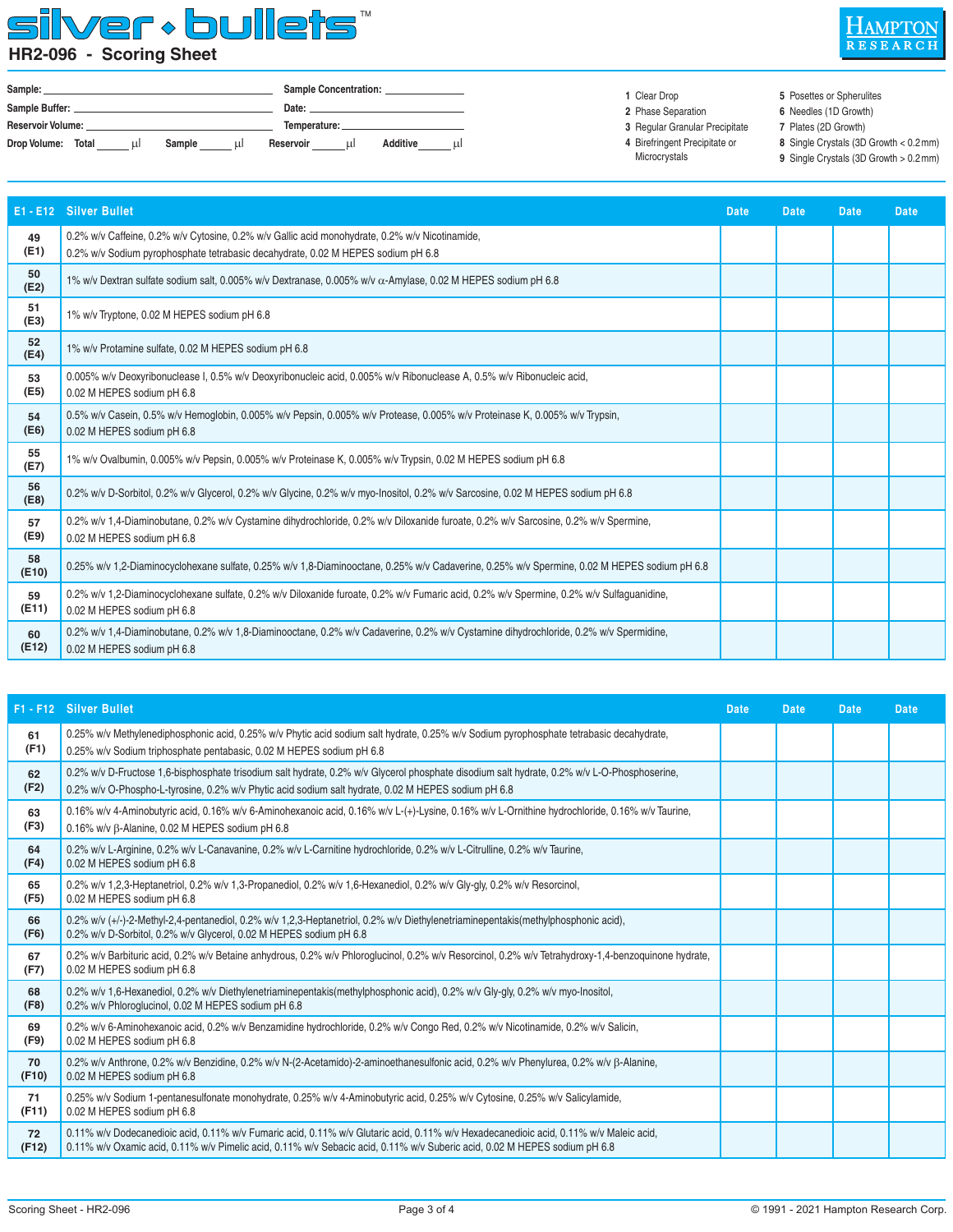### silver · bullets" **HR2-096 - Scoring Sheet**



| Sample:                  |       |   |        |       | Sample Concentration: |   |                 |    |  |
|--------------------------|-------|---|--------|-------|-----------------------|---|-----------------|----|--|
| Sample Buffer:           |       |   |        | Date: |                       |   |                 |    |  |
| <b>Reservoir Volume:</b> |       |   |        |       | Temperature:          |   |                 |    |  |
| Drop Volume:             | Total | ш | Sample | шI    | Reservoir             | ш | <b>Additive</b> | шŀ |  |

 **1** Clear Drop

- 
- **2** Phase Separation  **3** Regular Granular Precipitate
- **4** Birefringent Precipitate or
- Microcrystals

**7** Plates (2D Growth) **8** Single Crystals (3D Growth < 0.2 mm)

**5** Posettes or Spherulites **6** Needles (1D Growth)

**9** Single Crystals (3D Growth > 0.2 mm)

| E1 - E12    | <b>Silver Bullet</b>                                                                                                                                                               | <b>Date</b> | <b>Date</b> | <b>Date</b> | <b>Date</b> |
|-------------|------------------------------------------------------------------------------------------------------------------------------------------------------------------------------------|-------------|-------------|-------------|-------------|
| 49<br>(E1)  | 0.2% w/v Caffeine, 0.2% w/v Cytosine, 0.2% w/v Gallic acid monohydrate, 0.2% w/v Nicotinamide,<br>0.2% w/v Sodium pyrophosphate tetrabasic decahydrate, 0.02 M HEPES sodium pH 6.8 |             |             |             |             |
| 50<br>(E2)  | 1% w/v Dextran sulfate sodium salt, 0.005% w/v Dextranase, 0.005% w/v α-Amylase, 0.02 M HEPES sodium pH 6.8                                                                        |             |             |             |             |
| 51<br>(E3)  | 1% w/v Tryptone, 0.02 M HEPES sodium pH 6.8                                                                                                                                        |             |             |             |             |
| 52<br>(E4)  | 1% w/v Protamine sulfate, 0.02 M HEPES sodium pH 6.8                                                                                                                               |             |             |             |             |
| 53<br>(E5)  | 0.005% w/v Deoxyribonuclease I, 0.5% w/v Deoxyribonucleic acid, 0.005% w/v Ribonuclease A, 0.5% w/v Ribonucleic acid,<br>0.02 M HEPES sodium pH 6.8                                |             |             |             |             |
| 54<br>(EB)  | 0.5% w/v Casein, 0.5% w/v Hemoglobin, 0.005% w/v Pepsin, 0.005% w/v Protease, 0.005% w/v Proteinase K, 0.005% w/v Trypsin,<br>0.02 M HEPES sodium pH 6.8                           |             |             |             |             |
| 55<br>(E7)  | 1% w/v Ovalbumin, 0.005% w/v Pepsin, 0.005% w/v Proteinase K, 0.005% w/v Trypsin, 0.02 M HEPES sodium pH 6.8                                                                       |             |             |             |             |
| 56<br>(E8)  | 0.2% w/v D-Sorbitol, 0.2% w/v Glycerol, 0.2% w/v Glycine, 0.2% w/v myo-lnositol, 0.2% w/v Sarcosine, 0.02 M HEPES sodium pH 6.8                                                    |             |             |             |             |
| 57<br>(E9)  | 0.2% w/v 1.4-Diaminobutane, 0.2% w/v Cystamine dihydrochloride, 0.2% w/v Diloxanide furoate, 0.2% w/v Sarcosine, 0.2% w/v Spermine,<br>0.02 M HEPES sodium pH 6.8                  |             |             |             |             |
| 58<br>(E10) | 0.25% w/v 1.2-Diaminocyclohexane sulfate, 0.25% w/v 1.8-Diaminooctane, 0.25% w/v Cadaverine, 0.25% w/v Spermine, 0.02 M HEPES sodium pH 6.8                                        |             |             |             |             |
| 59<br>(E11) | 0.2% w/v 1,2-Diaminocyclohexane sulfate, 0.2% w/v Diloxanide furoate, 0.2% w/v Fumaric acid, 0.2% w/v Spermine, 0.2% w/v Sulfaquanidine,<br>0.02 M HEPES sodium pH 6.8             |             |             |             |             |
| 60<br>(E12) | 0.2% w/v 1,4-Diaminobutane, 0.2% w/v 1,8-Diaminooctane, 0.2% w/v Cadaverine, 0.2% w/v Cystamine dihydrochloride, 0.2% w/v Spermidine,<br>0.02 M HEPES sodium pH 6.8                |             |             |             |             |
|             |                                                                                                                                                                                    |             |             |             |             |

|             | F1 - F12 Silver Bullet                                                                                                                                                                                                                                             | <b>Date</b> | <b>Date</b> | <b>Date</b> | <b>Date</b> |
|-------------|--------------------------------------------------------------------------------------------------------------------------------------------------------------------------------------------------------------------------------------------------------------------|-------------|-------------|-------------|-------------|
| 61<br>(F1)  | 0.25% w/v Methylenediphosphonic acid, 0.25% w/v Phytic acid sodium salt hydrate, 0.25% w/v Sodium pyrophosphate tetrabasic decahydrate,<br>0.25% w/v Sodium triphosphate pentabasic, 0.02 M HEPES sodium pH 6.8                                                    |             |             |             |             |
| 62<br>(F2)  | 0.2% w/v D-Fructose 1.6-bisphosphate trisodium salt hydrate, 0.2% w/v Glycerol phosphate disodium salt hydrate, 0.2% w/v L-O-Phosphoserine,<br>0.2% w/v O-Phospho-L-tyrosine, 0.2% w/v Phytic acid sodium salt hydrate, 0.02 M HEPES sodium pH 6.8                 |             |             |             |             |
| 63<br>(F3)  | 0.16% w/v 4-Aminobutyric acid, 0.16% w/v 6-Aminohexanoic acid, 0.16% w/v L-(+)-Lysine, 0.16% w/v L-Ornithine hydrochloride, 0.16% w/v Taurine,<br>0.16% w/v B-Alanine, 0.02 M HEPES sodium pH 6.8                                                                  |             |             |             |             |
| 64<br>(F4)  | 0.2% w/v L-Arginine, 0.2% w/v L-Canavanine, 0.2% w/v L-Carnitine hydrochloride, 0.2% w/v L-Citrulline, 0.2% w/v Taurine,<br>0.02 M HEPES sodium pH 6.8                                                                                                             |             |             |             |             |
| 65<br>(F5)  | 0.2% w/v 1.2.3-Heptanetriol, 0.2% w/v 1.3-Propanediol, 0.2% w/v 1.6-Hexanediol, 0.2% w/v Gly-gly, 0.2% w/v Resorcinol,<br>0.02 M HEPES sodium pH 6.8                                                                                                               |             |             |             |             |
| 66<br>(F6)  | 0.2% w/v (+/-)-2-Methyl-2,4-pentanediol, 0.2% w/v 1,2,3-Heptanetriol, 0.2% w/v Diethylenetriaminepentakis(methylphosphonic acid),<br>0.2% w/v D-Sorbitol, 0.2% w/v Glycerol, 0.02 M HEPES sodium pH 6.8                                                            |             |             |             |             |
| 67<br>(F7)  | 0.2% w/v Barbituric acid, 0.2% w/v Betaine anhydrous, 0.2% w/v Phloroglucinol, 0.2% w/v Resorcinol, 0.2% w/v Tetrahydroxy-1,4-benzoquinone hydrate,<br>0.02 M HEPES sodium pH 6.8                                                                                  |             |             |             |             |
| 68<br>(F8)  | 0.2% w/v 1,6-Hexanediol, 0.2% w/v Diethylenetriaminepentakis(methylphosphonic acid), 0.2% w/v Gly-gly, 0.2% w/v myo-Inositol,<br>0.2% w/v Phloroglucinol, 0.02 M HEPES sodium pH 6.8                                                                               |             |             |             |             |
| 69<br>(F9)  | 0.2% w/v 6-Aminohexanoic acid, 0.2% w/v Benzamidine hydrochloride, 0.2% w/v Congo Red, 0.2% w/v Nicotinamide, 0.2% w/v Salicin,<br>0.02 M HEPES sodium pH 6.8                                                                                                      |             |             |             |             |
| 70<br>(F10) | 0.2% w/v Anthrone, 0.2% w/v Benzidine, 0.2% w/v N-(2-Acetamido)-2-aminoethanesulfonic acid, 0.2% w/v Phenylurea, 0.2% w/v ß-Alanine,<br>0.02 M HEPES sodium pH 6.8                                                                                                 |             |             |             |             |
| 71<br>(F11) | 0.25% w/v Sodium 1-pentanesulfonate monohydrate, 0.25% w/v 4-Aminobutyric acid, 0.25% w/v Cytosine, 0.25% w/v Salicylamide,<br>0.02 M HEPES sodium pH 6.8                                                                                                          |             |             |             |             |
| 72<br>(F12) | 0.11% w/v Dodecanedioic acid, 0.11% w/v Fumaric acid, 0.11% w/v Glutaric acid, 0.11% w/v Hexadecanedioic acid, 0.11% w/v Maleic acid,<br>0.11% w/v Oxamic acid, 0.11% w/v Pimelic acid, 0.11% w/v Sebacic acid, 0.11% w/v Suberic acid, 0.02 M HEPES sodium pH 6.8 |             |             |             |             |